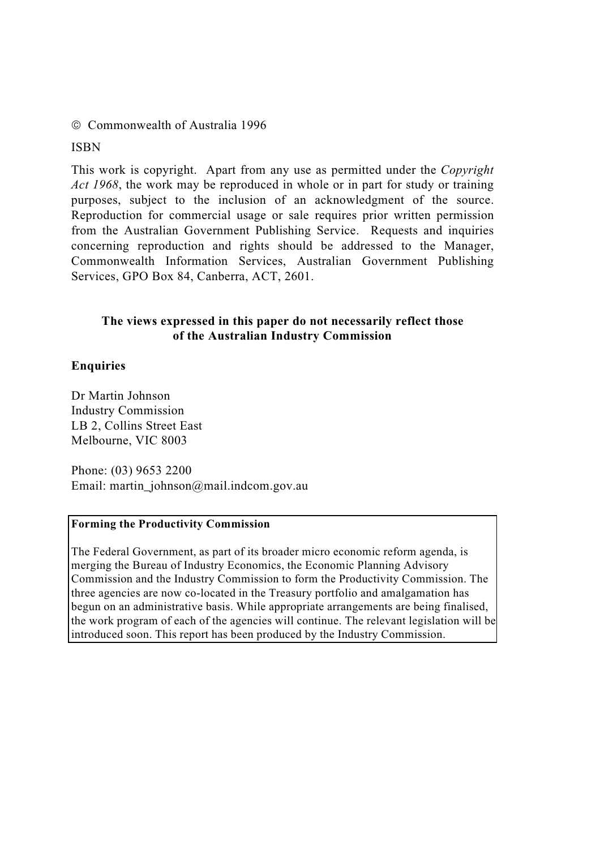### Commonwealth of Australia 1996

ISBN

This work is copyright. Apart from any use as permitted under the *Copyright Act 1968*, the work may be reproduced in whole or in part for study or training purposes, subject to the inclusion of an acknowledgment of the source. Reproduction for commercial usage or sale requires prior written permission from the Australian Government Publishing Service. Requests and inquiries concerning reproduction and rights should be addressed to the Manager, Commonwealth Information Services, Australian Government Publishing Services, GPO Box 84, Canberra, ACT, 2601.

### **The views expressed in this paper do not necessarily reflect those of the Australian Industry Commission**

### **Enquiries**

Dr Martin Johnson Industry Commission LB 2, Collins Street East Melbourne, VIC 8003

Phone: (03) 9653 2200 Email: martin\_johnson@mail.indcom.gov.au

#### **Forming the Productivity Commission**

The Federal Government, as part of its broader micro economic reform agenda, is merging the Bureau of Industry Economics, the Economic Planning Advisory Commission and the Industry Commission to form the Productivity Commission. The three agencies are now co-located in the Treasury portfolio and amalgamation has begun on an administrative basis. While appropriate arrangements are being finalised, the work program of each of the agencies will continue. The relevant legislation will be introduced soon. This report has been produced by the Industry Commission.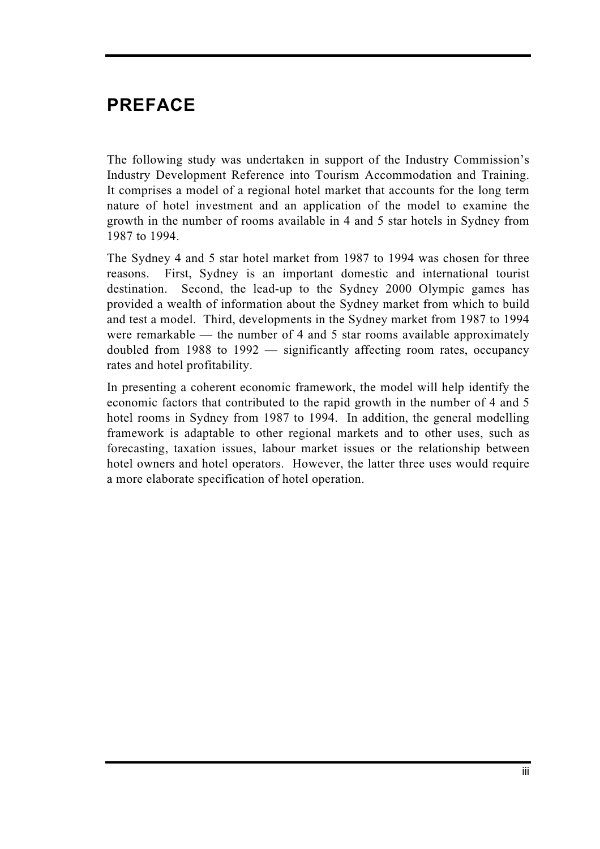# **PREFACE**

The following study was undertaken in support of the Industry Commission's Industry Development Reference into Tourism Accommodation and Training. It comprises a model of a regional hotel market that accounts for the long term nature of hotel investment and an application of the model to examine the growth in the number of rooms available in 4 and 5 star hotels in Sydney from 1987 to 1994.

The Sydney 4 and 5 star hotel market from 1987 to 1994 was chosen for three reasons. First, Sydney is an important domestic and international tourist destination. Second, the lead-up to the Sydney 2000 Olympic games has provided a wealth of information about the Sydney market from which to build and test a model. Third, developments in the Sydney market from 1987 to 1994 were remarkable — the number of 4 and 5 star rooms available approximately doubled from 1988 to 1992 — significantly affecting room rates, occupancy rates and hotel profitability.

In presenting a coherent economic framework, the model will help identify the economic factors that contributed to the rapid growth in the number of 4 and 5 hotel rooms in Sydney from 1987 to 1994. In addition, the general modelling framework is adaptable to other regional markets and to other uses, such as forecasting, taxation issues, labour market issues or the relationship between hotel owners and hotel operators. However, the latter three uses would require a more elaborate specification of hotel operation.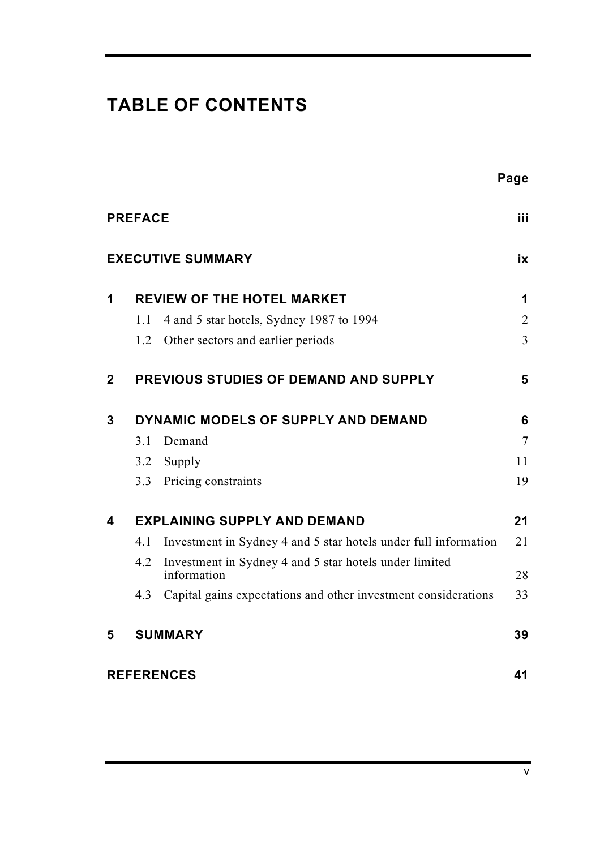# **TABLE OF CONTENTS**

|                |                                     |                                                                       | Page           |  |  |  |
|----------------|-------------------------------------|-----------------------------------------------------------------------|----------------|--|--|--|
|                | <b>PREFACE</b>                      |                                                                       | iii.           |  |  |  |
|                |                                     | <b>EXECUTIVE SUMMARY</b>                                              | iх             |  |  |  |
| 1              |                                     | <b>REVIEW OF THE HOTEL MARKET</b>                                     | 1              |  |  |  |
|                | 1.1                                 | 4 and 5 star hotels, Sydney 1987 to 1994                              | $\overline{2}$ |  |  |  |
|                | 1.2                                 | Other sectors and earlier periods                                     | $\overline{3}$ |  |  |  |
| $\overline{2}$ |                                     | PREVIOUS STUDIES OF DEMAND AND SUPPLY                                 | 5              |  |  |  |
| 3              | DYNAMIC MODELS OF SUPPLY AND DEMAND |                                                                       |                |  |  |  |
|                | 3.1                                 | Demand                                                                | $\tau$         |  |  |  |
|                | 3.2                                 | Supply                                                                | 11             |  |  |  |
|                | 3.3                                 | Pricing constraints                                                   | 19             |  |  |  |
| 4              |                                     | <b>EXPLAINING SUPPLY AND DEMAND</b>                                   | 21             |  |  |  |
|                | 4.1                                 | Investment in Sydney 4 and 5 star hotels under full information       | 21             |  |  |  |
|                | 4.2                                 | Investment in Sydney 4 and 5 star hotels under limited<br>information | 28             |  |  |  |
|                | 4.3                                 | Capital gains expectations and other investment considerations        | 33             |  |  |  |
| 5              |                                     | <b>SUMMARY</b>                                                        | 39             |  |  |  |
|                |                                     | <b>REFERENCES</b>                                                     | 41             |  |  |  |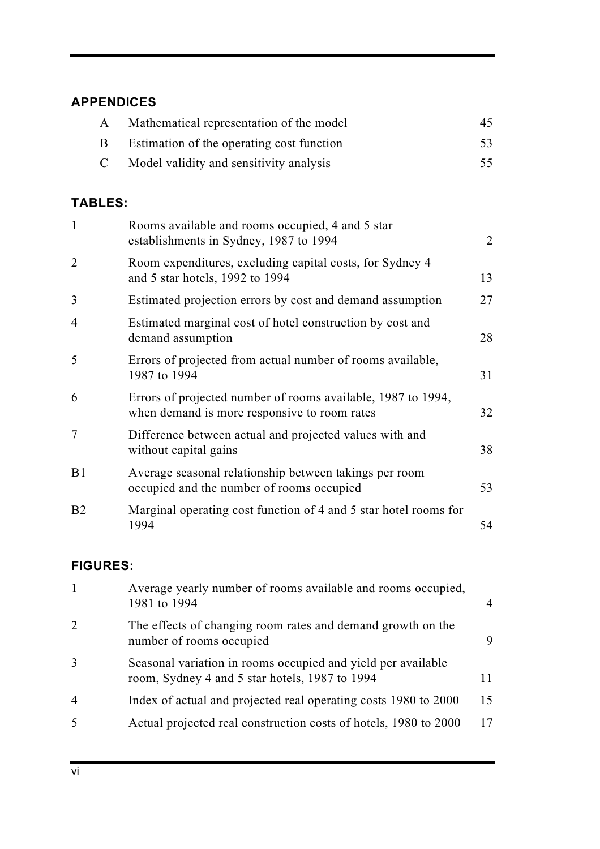# **APPENDICES**

| A            | Mathematical representation of the model  | 45 |
|--------------|-------------------------------------------|----|
| B            | Estimation of the operating cost function | 53 |
| $\mathbf{C}$ | Model validity and sensitivity analysis   | 55 |

# **TABLES:**

| $\mathbf{1}$   | Rooms available and rooms occupied, 4 and 5 star<br>establishments in Sydney, 1987 to 1994                   | $\overline{2}$ |
|----------------|--------------------------------------------------------------------------------------------------------------|----------------|
| $\overline{2}$ | Room expenditures, excluding capital costs, for Sydney 4<br>and 5 star hotels, 1992 to 1994                  | 13             |
| 3              | Estimated projection errors by cost and demand assumption                                                    | 27             |
| 4              | Estimated marginal cost of hotel construction by cost and<br>demand assumption                               | 28             |
| 5              | Errors of projected from actual number of rooms available,<br>1987 to 1994                                   | 31             |
| 6              | Errors of projected number of rooms available, 1987 to 1994,<br>when demand is more responsive to room rates | 32             |
| 7              | Difference between actual and projected values with and<br>without capital gains                             | 38             |
| B <sub>1</sub> | Average seasonal relationship between takings per room<br>occupied and the number of rooms occupied          | 53             |
| B <sub>2</sub> | Marginal operating cost function of 4 and 5 star hotel rooms for<br>1994                                     | 54             |

# **FIGURES:**

| $\mathbf{1}$                | Average yearly number of rooms available and rooms occupied,<br>1981 to 1994                                   | $\overline{4}$ |
|-----------------------------|----------------------------------------------------------------------------------------------------------------|----------------|
| $\mathcal{D}_{\mathcal{L}}$ | The effects of changing room rates and demand growth on the<br>number of rooms occupied                        | 9              |
| 3                           | Seasonal variation in rooms occupied and yield per available<br>room, Sydney 4 and 5 star hotels, 1987 to 1994 | 11             |
| $\overline{4}$              | Index of actual and projected real operating costs 1980 to 2000                                                | 15             |
| .5                          | Actual projected real construction costs of hotels, 1980 to 2000                                               | 17             |
|                             |                                                                                                                |                |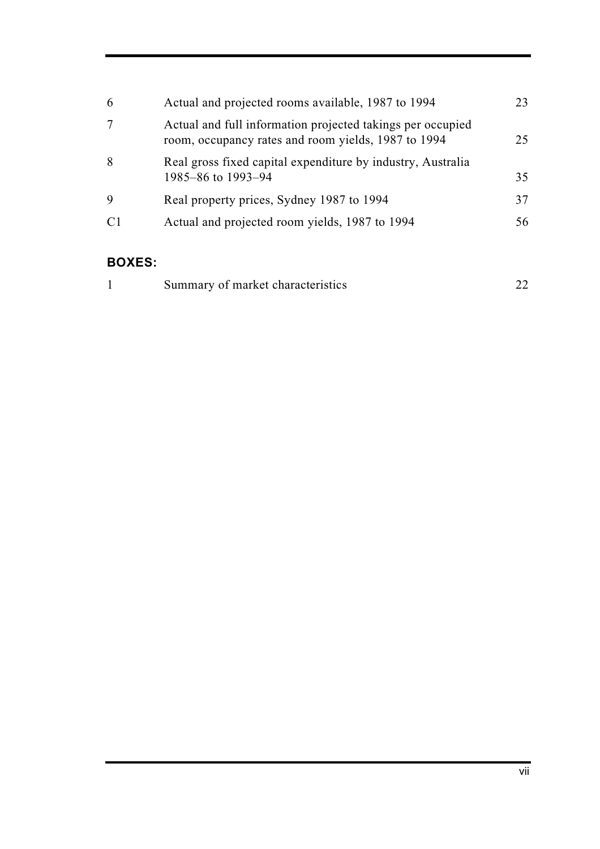| 6              | Actual and projected rooms available, 1987 to 1994                                                                | 23. |
|----------------|-------------------------------------------------------------------------------------------------------------------|-----|
|                |                                                                                                                   |     |
|                | Actual and full information projected takings per occupied<br>room, occupancy rates and room yields, 1987 to 1994 | 25  |
| 8              | Real gross fixed capital expenditure by industry, Australia<br>1985–86 to 1993–94                                 | 35  |
| 9              | Real property prices, Sydney 1987 to 1994                                                                         | 37  |
| C <sub>1</sub> | Actual and projected room yields, 1987 to 1994                                                                    | 56  |
|                |                                                                                                                   |     |

# **BOXES:**

| Summary of market characteristics |  |
|-----------------------------------|--|
|                                   |  |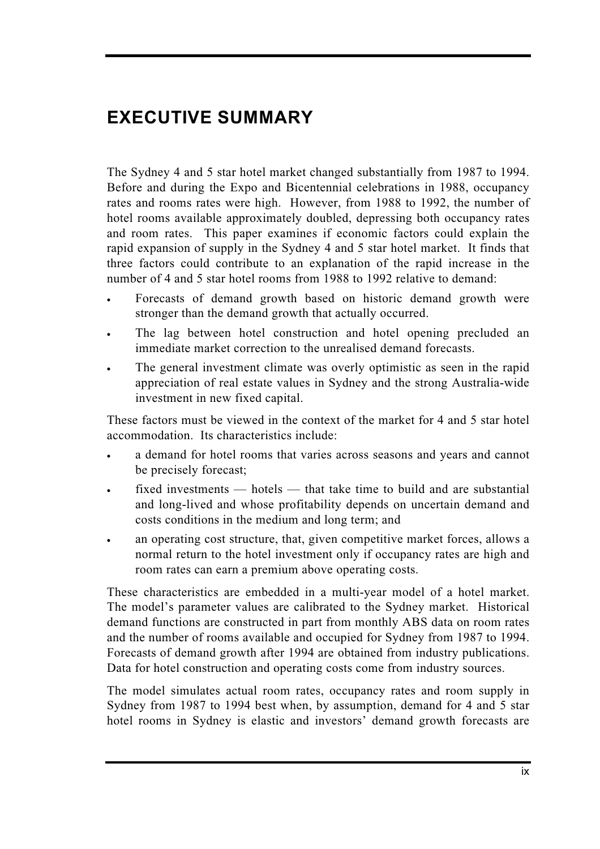# **EXECUTIVE SUMMARY**

The Sydney 4 and 5 star hotel market changed substantially from 1987 to 1994. Before and during the Expo and Bicentennial celebrations in 1988, occupancy rates and rooms rates were high. However, from 1988 to 1992, the number of hotel rooms available approximately doubled, depressing both occupancy rates and room rates. This paper examines if economic factors could explain the rapid expansion of supply in the Sydney 4 and 5 star hotel market. It finds that three factors could contribute to an explanation of the rapid increase in the number of 4 and 5 star hotel rooms from 1988 to 1992 relative to demand:

- Forecasts of demand growth based on historic demand growth were stronger than the demand growth that actually occurred.
- The lag between hotel construction and hotel opening precluded an immediate market correction to the unrealised demand forecasts.
- The general investment climate was overly optimistic as seen in the rapid appreciation of real estate values in Sydney and the strong Australia-wide investment in new fixed capital.

These factors must be viewed in the context of the market for 4 and 5 star hotel accommodation. Its characteristics include:

- a demand for hotel rooms that varies across seasons and years and cannot be precisely forecast;
- fixed investments hotels that take time to build and are substantial and long-lived and whose profitability depends on uncertain demand and costs conditions in the medium and long term; and
- an operating cost structure, that, given competitive market forces, allows a normal return to the hotel investment only if occupancy rates are high and room rates can earn a premium above operating costs.

These characteristics are embedded in a multi-year model of a hotel market. The model's parameter values are calibrated to the Sydney market. Historical demand functions are constructed in part from monthly ABS data on room rates and the number of rooms available and occupied for Sydney from 1987 to 1994. Forecasts of demand growth after 1994 are obtained from industry publications. Data for hotel construction and operating costs come from industry sources.

The model simulates actual room rates, occupancy rates and room supply in Sydney from 1987 to 1994 best when, by assumption, demand for 4 and 5 star hotel rooms in Sydney is elastic and investors' demand growth forecasts are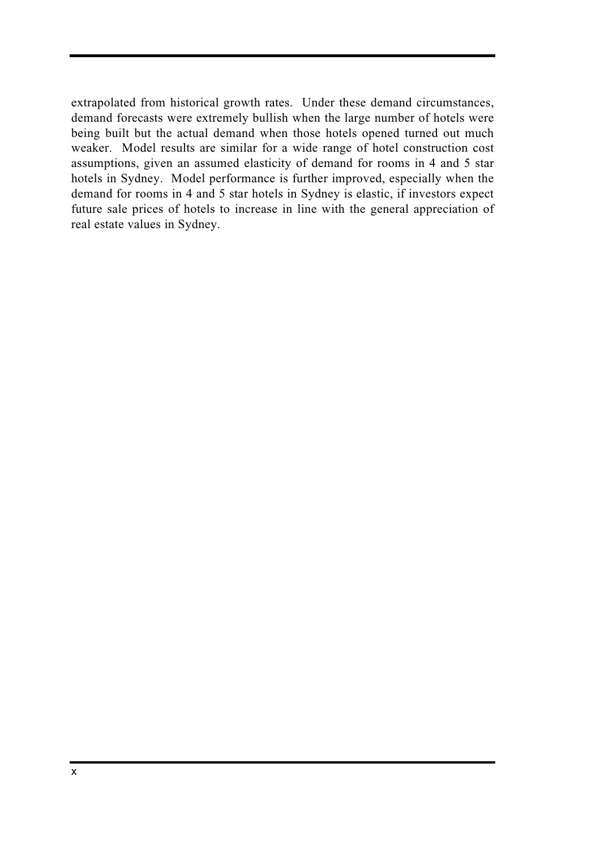extrapolated from historical growth rates. Under these demand circumstances, demand forecasts were extremely bullish when the large number of hotels were being built but the actual demand when those hotels opened turned out much weaker. Model results are similar for a wide range of hotel construction cost assumptions, given an assumed elasticity of demand for rooms in 4 and 5 star hotels in Sydney. Model performance is further improved, especially when the demand for rooms in 4 and 5 star hotels in Sydney is elastic, if investors expect future sale prices of hotels to increase in line with the general appreciation of real estate values in Sydney.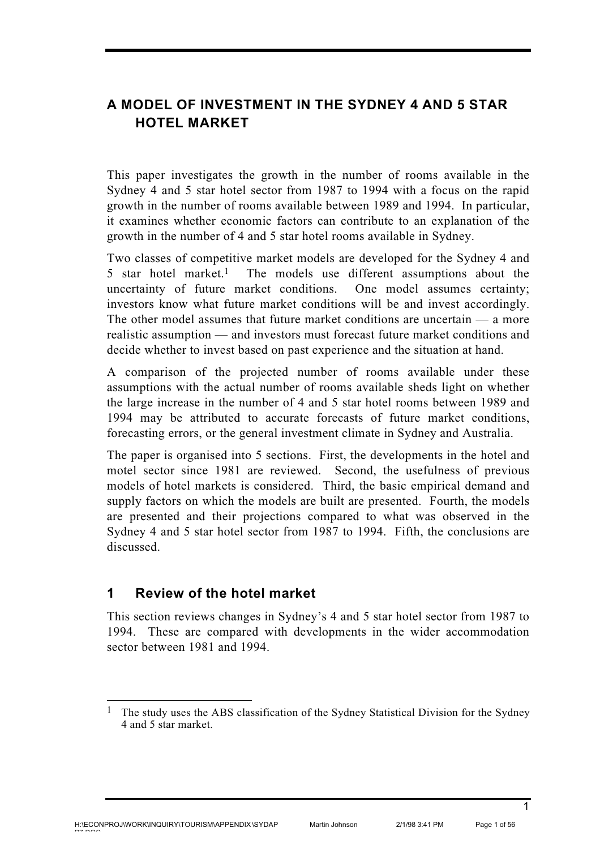# **A MODEL OF INVESTMENT IN THE SYDNEY 4 AND 5 STAR HOTEL MARKET**

This paper investigates the growth in the number of rooms available in the Sydney 4 and 5 star hotel sector from 1987 to 1994 with a focus on the rapid growth in the number of rooms available between 1989 and 1994. In particular, it examines whether economic factors can contribute to an explanation of the growth in the number of 4 and 5 star hotel rooms available in Sydney.

Two classes of competitive market models are developed for the Sydney 4 and 5 star hotel market.1 The models use different assumptions about the uncertainty of future market conditions. One model assumes certainty; investors know what future market conditions will be and invest accordingly. The other model assumes that future market conditions are uncertain — a more realistic assumption — and investors must forecast future market conditions and decide whether to invest based on past experience and the situation at hand.

A comparison of the projected number of rooms available under these assumptions with the actual number of rooms available sheds light on whether the large increase in the number of 4 and 5 star hotel rooms between 1989 and 1994 may be attributed to accurate forecasts of future market conditions, forecasting errors, or the general investment climate in Sydney and Australia.

The paper is organised into 5 sections. First, the developments in the hotel and motel sector since 1981 are reviewed. Second, the usefulness of previous models of hotel markets is considered. Third, the basic empirical demand and supply factors on which the models are built are presented. Fourth, the models are presented and their projections compared to what was observed in the Sydney 4 and 5 star hotel sector from 1987 to 1994. Fifth, the conclusions are discussed.

# **1 Review of the hotel market**

This section reviews changes in Sydney's 4 and 5 star hotel sector from 1987 to 1994. These are compared with developments in the wider accommodation sector between 1981 and 1994.

<sup>1</sup> The study uses the ABS classification of the Sydney Statistical Division for the Sydney 4 and 5 star market.

<sup>1</sup>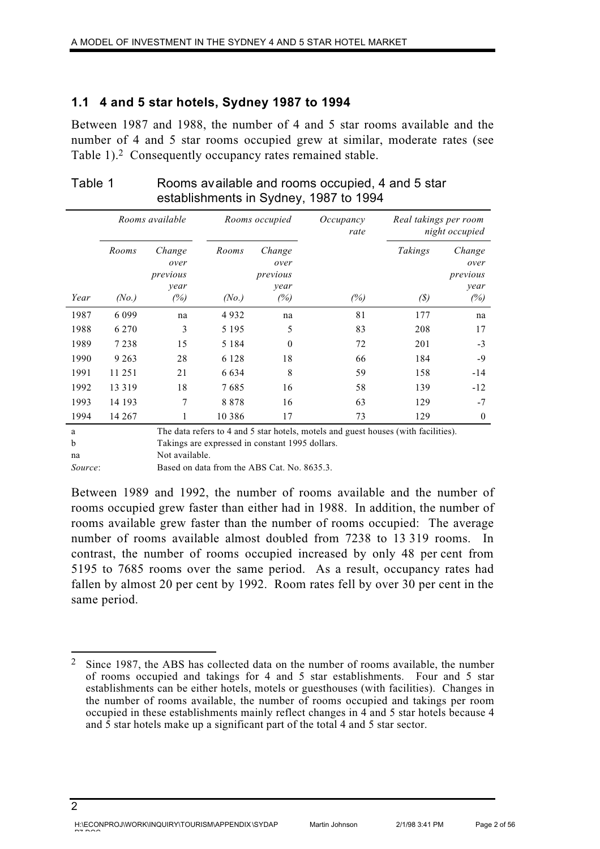### **1.1 4 and 5 star hotels, Sydney 1987 to 1994**

Between 1987 and 1988, the number of 4 and 5 star rooms available and the number of 4 and 5 star rooms occupied grew at similar, moderate rates (see Table 1).2 Consequently occupancy rates remained stable.

|      | Rooms available |                                    |          | Rooms occupied                     | Occupancy<br>rate | Real takings per room       | night occupied                     |
|------|-----------------|------------------------------------|----------|------------------------------------|-------------------|-----------------------------|------------------------------------|
|      | Rooms           | Change<br>over<br>previous<br>year | Rooms    | Change<br>over<br>previous<br>year |                   | Takings                     | Change<br>over<br>previous<br>year |
| Year | (No.)           | (%)                                | (No.)    | (%)                                | (%)               | $\left( \mathcal{S}\right)$ | (%)                                |
| 1987 | 6 0 9 9         | na                                 | 4932     | na                                 | 81                | 177                         | na                                 |
| 1988 | 6 2 7 0         | 3                                  | 5 1 9 5  | 5                                  | 83                | 208                         | 17                                 |
| 1989 | 7 2 3 8         | 15                                 | 5 1 8 4  | 0                                  | 72                | 201                         | $-3$                               |
| 1990 | 9 2 6 3         | 28                                 | 6 1 2 8  | 18                                 | 66                | 184                         | $-9$                               |
| 1991 | 11 251          | 21                                 | 6 6 3 4  | 8                                  | 59                | 158                         | $-14$                              |
| 1992 | 13 3 19         | 18                                 | 7685     | 16                                 | 58                | 139                         | $-12$                              |
| 1993 | 14 193          | 7                                  | 8878     | 16                                 | 63                | 129                         | $-7$                               |
| 1994 | 14 267          | 1                                  | 10 3 8 6 | 17                                 | 73                | 129                         | $\mathbf{0}$                       |

### Table 1 Rooms available and rooms occupied, 4 and 5 star establishments in Sydney, 1987 to 1994

a The data refers to 4 and 5 star hotels, motels and guest houses (with facilities). b Takings are expressed in constant 1995 dollars.

na Not available.

*Source*: Based on data from the ABS Cat. No. 8635.3.

Between 1989 and 1992, the number of rooms available and the number of rooms occupied grew faster than either had in 1988. In addition, the number of rooms available grew faster than the number of rooms occupied: The average number of rooms available almost doubled from 7238 to 13 319 rooms. In contrast, the number of rooms occupied increased by only 48 per cent from 5195 to 7685 rooms over the same period. As a result, occupancy rates had fallen by almost 20 per cent by 1992. Room rates fell by over 30 per cent in the same period.

<sup>2</sup> Since 1987, the ABS has collected data on the number of rooms available, the number of rooms occupied and takings for 4 and 5 star establishments. Four and 5 star establishments can be either hotels, motels or guesthouses (with facilities). Changes in the number of rooms available, the number of rooms occupied and takings per room occupied in these establishments mainly reflect changes in 4 and 5 star hotels because 4 and 5 star hotels make up a significant part of the total 4 and 5 star sector.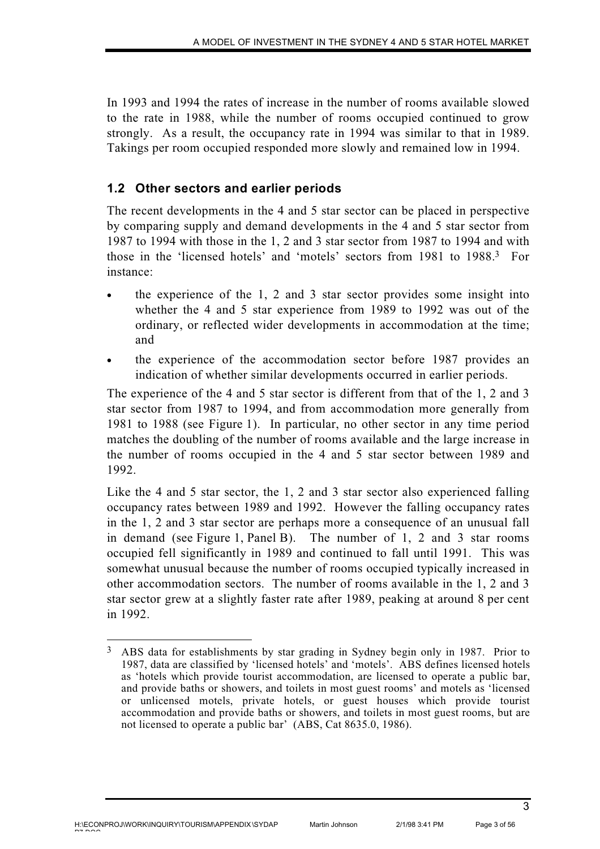In 1993 and 1994 the rates of increase in the number of rooms available slowed to the rate in 1988, while the number of rooms occupied continued to grow strongly. As a result, the occupancy rate in 1994 was similar to that in 1989. Takings per room occupied responded more slowly and remained low in 1994.

# **1.2 Other sectors and earlier periods**

The recent developments in the 4 and 5 star sector can be placed in perspective by comparing supply and demand developments in the 4 and 5 star sector from 1987 to 1994 with those in the 1, 2 and 3 star sector from 1987 to 1994 and with those in the 'licensed hotels' and 'motels' sectors from 1981 to 1988.3 For instance:

- the experience of the  $1, 2$  and  $3$  star sector provides some insight into whether the 4 and 5 star experience from 1989 to 1992 was out of the ordinary, or reflected wider developments in accommodation at the time; and
- the experience of the accommodation sector before 1987 provides an indication of whether similar developments occurred in earlier periods.

The experience of the 4 and 5 star sector is different from that of the 1, 2 and 3 star sector from 1987 to 1994, and from accommodation more generally from 1981 to 1988 (see Figure 1). In particular, no other sector in any time period matches the doubling of the number of rooms available and the large increase in the number of rooms occupied in the 4 and 5 star sector between 1989 and 1992.

Like the 4 and 5 star sector, the 1, 2 and 3 star sector also experienced falling occupancy rates between 1989 and 1992. However the falling occupancy rates in the 1, 2 and 3 star sector are perhaps more a consequence of an unusual fall in demand (see Figure 1, Panel B). The number of 1, 2 and 3 star rooms occupied fell significantly in 1989 and continued to fall until 1991. This was somewhat unusual because the number of rooms occupied typically increased in other accommodation sectors. The number of rooms available in the 1, 2 and 3 star sector grew at a slightly faster rate after 1989, peaking at around 8 per cent in 1992.

<sup>3</sup> ABS data for establishments by star grading in Sydney begin only in 1987. Prior to 1987, data are classified by 'licensed hotels' and 'motels'. ABS defines licensed hotels as 'hotels which provide tourist accommodation, are licensed to operate a public bar, and provide baths or showers, and toilets in most guest rooms' and motels as 'licensed or unlicensed motels, private hotels, or guest houses which provide tourist accommodation and provide baths or showers, and toilets in most guest rooms, but are not licensed to operate a public bar' (ABS, Cat 8635.0, 1986).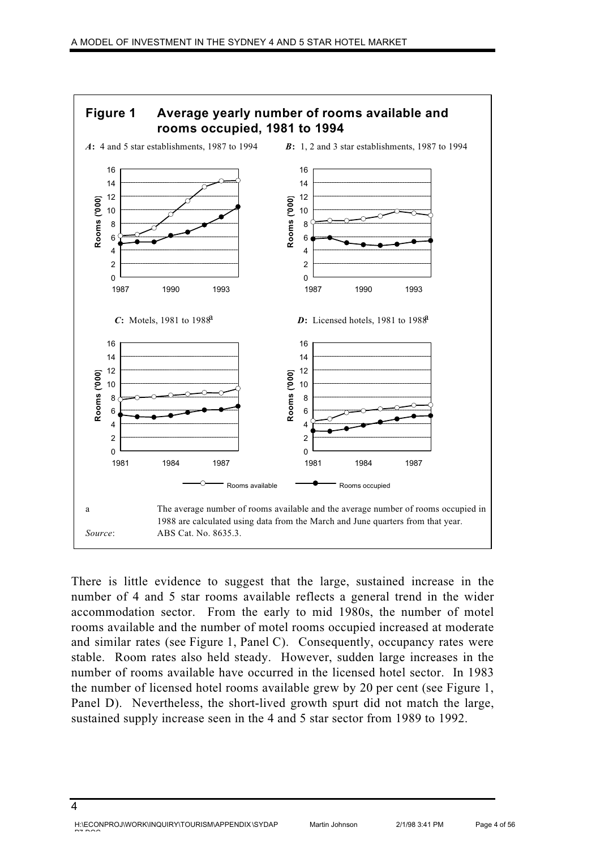

There is little evidence to suggest that the large, sustained increase in the number of 4 and 5 star rooms available reflects a general trend in the wider accommodation sector. From the early to mid 1980s, the number of motel rooms available and the number of motel rooms occupied increased at moderate and similar rates (see Figure 1, Panel C). Consequently, occupancy rates were stable. Room rates also held steady. However, sudden large increases in the number of rooms available have occurred in the licensed hotel sector. In 1983 the number of licensed hotel rooms available grew by 20 per cent (see Figure 1, Panel D). Nevertheless, the short-lived growth spurt did not match the large, sustained supply increase seen in the 4 and 5 star sector from 1989 to 1992.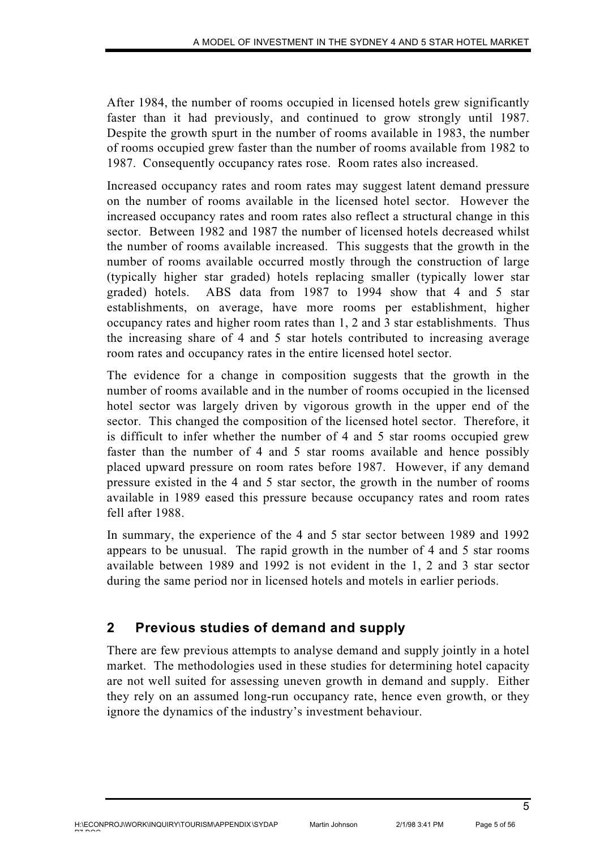After 1984, the number of rooms occupied in licensed hotels grew significantly faster than it had previously, and continued to grow strongly until 1987. Despite the growth spurt in the number of rooms available in 1983, the number of rooms occupied grew faster than the number of rooms available from 1982 to 1987. Consequently occupancy rates rose. Room rates also increased.

Increased occupancy rates and room rates may suggest latent demand pressure on the number of rooms available in the licensed hotel sector. However the increased occupancy rates and room rates also reflect a structural change in this sector. Between 1982 and 1987 the number of licensed hotels decreased whilst the number of rooms available increased. This suggests that the growth in the number of rooms available occurred mostly through the construction of large (typically higher star graded) hotels replacing smaller (typically lower star graded) hotels. ABS data from 1987 to 1994 show that 4 and 5 star establishments, on average, have more rooms per establishment, higher occupancy rates and higher room rates than 1, 2 and 3 star establishments. Thus the increasing share of 4 and 5 star hotels contributed to increasing average room rates and occupancy rates in the entire licensed hotel sector.

The evidence for a change in composition suggests that the growth in the number of rooms available and in the number of rooms occupied in the licensed hotel sector was largely driven by vigorous growth in the upper end of the sector. This changed the composition of the licensed hotel sector. Therefore, it is difficult to infer whether the number of 4 and 5 star rooms occupied grew faster than the number of 4 and 5 star rooms available and hence possibly placed upward pressure on room rates before 1987. However, if any demand pressure existed in the 4 and 5 star sector, the growth in the number of rooms available in 1989 eased this pressure because occupancy rates and room rates fell after 1988.

In summary, the experience of the 4 and 5 star sector between 1989 and 1992 appears to be unusual. The rapid growth in the number of 4 and 5 star rooms available between 1989 and 1992 is not evident in the 1, 2 and 3 star sector during the same period nor in licensed hotels and motels in earlier periods.

# **2 Previous studies of demand and supply**

There are few previous attempts to analyse demand and supply jointly in a hotel market. The methodologies used in these studies for determining hotel capacity are not well suited for assessing uneven growth in demand and supply. Either they rely on an assumed long-run occupancy rate, hence even growth, or they ignore the dynamics of the industry's investment behaviour.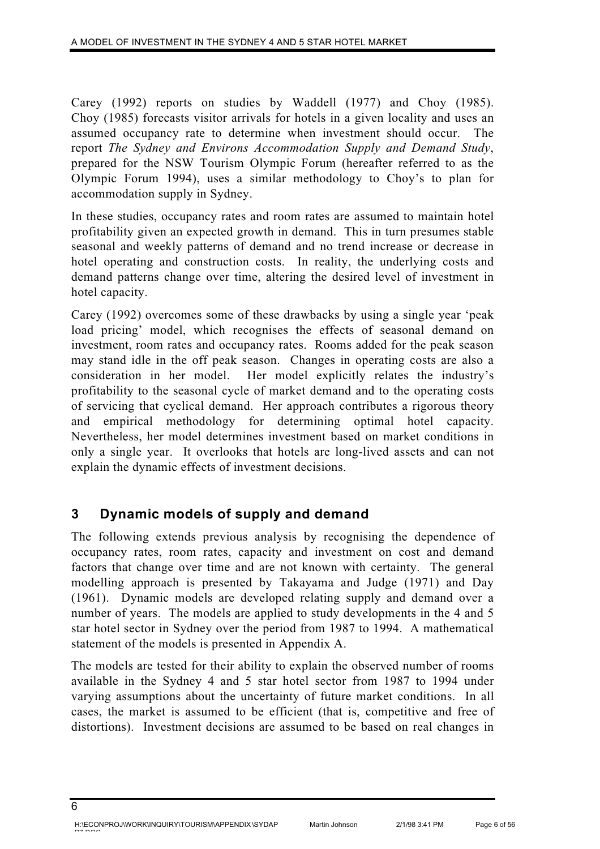Carey (1992) reports on studies by Waddell (1977) and Choy (1985). Choy (1985) forecasts visitor arrivals for hotels in a given locality and uses an assumed occupancy rate to determine when investment should occur. The report *The Sydney and Environs Accommodation Supply and Demand Study*, prepared for the NSW Tourism Olympic Forum (hereafter referred to as the Olympic Forum 1994), uses a similar methodology to Choy's to plan for accommodation supply in Sydney.

In these studies, occupancy rates and room rates are assumed to maintain hotel profitability given an expected growth in demand. This in turn presumes stable seasonal and weekly patterns of demand and no trend increase or decrease in hotel operating and construction costs. In reality, the underlying costs and demand patterns change over time, altering the desired level of investment in hotel capacity.

Carey (1992) overcomes some of these drawbacks by using a single year 'peak load pricing' model, which recognises the effects of seasonal demand on investment, room rates and occupancy rates. Rooms added for the peak season may stand idle in the off peak season. Changes in operating costs are also a consideration in her model. Her model explicitly relates the industry's profitability to the seasonal cycle of market demand and to the operating costs of servicing that cyclical demand. Her approach contributes a rigorous theory and empirical methodology for determining optimal hotel capacity. Nevertheless, her model determines investment based on market conditions in only a single year. It overlooks that hotels are long-lived assets and can not explain the dynamic effects of investment decisions.

# **3 Dynamic models of supply and demand**

The following extends previous analysis by recognising the dependence of occupancy rates, room rates, capacity and investment on cost and demand factors that change over time and are not known with certainty. The general modelling approach is presented by Takayama and Judge (1971) and Day (1961). Dynamic models are developed relating supply and demand over a number of years. The models are applied to study developments in the 4 and 5 star hotel sector in Sydney over the period from 1987 to 1994. A mathematical statement of the models is presented in Appendix A.

The models are tested for their ability to explain the observed number of rooms available in the Sydney 4 and 5 star hotel sector from 1987 to 1994 under varying assumptions about the uncertainty of future market conditions. In all cases, the market is assumed to be efficient (that is, competitive and free of distortions). Investment decisions are assumed to be based on real changes in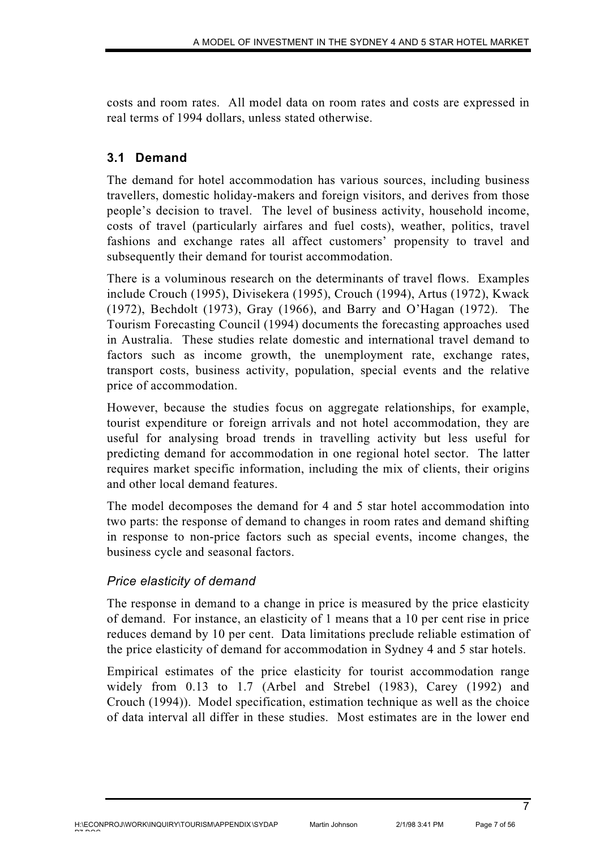costs and room rates. All model data on room rates and costs are expressed in real terms of 1994 dollars, unless stated otherwise.

# **3.1 Demand**

The demand for hotel accommodation has various sources, including business travellers, domestic holiday-makers and foreign visitors, and derives from those people's decision to travel. The level of business activity, household income, costs of travel (particularly airfares and fuel costs), weather, politics, travel fashions and exchange rates all affect customers' propensity to travel and subsequently their demand for tourist accommodation.

There is a voluminous research on the determinants of travel flows. Examples include Crouch (1995), Divisekera (1995), Crouch (1994), Artus (1972), Kwack (1972), Bechdolt (1973), Gray (1966), and Barry and O'Hagan (1972). The Tourism Forecasting Council (1994) documents the forecasting approaches used in Australia. These studies relate domestic and international travel demand to factors such as income growth, the unemployment rate, exchange rates, transport costs, business activity, population, special events and the relative price of accommodation.

However, because the studies focus on aggregate relationships, for example, tourist expenditure or foreign arrivals and not hotel accommodation, they are useful for analysing broad trends in travelling activity but less useful for predicting demand for accommodation in one regional hotel sector. The latter requires market specific information, including the mix of clients, their origins and other local demand features.

The model decomposes the demand for 4 and 5 star hotel accommodation into two parts: the response of demand to changes in room rates and demand shifting in response to non-price factors such as special events, income changes, the business cycle and seasonal factors.

# *Price elasticity of demand*

The response in demand to a change in price is measured by the price elasticity of demand. For instance, an elasticity of 1 means that a 10 per cent rise in price reduces demand by 10 per cent. Data limitations preclude reliable estimation of the price elasticity of demand for accommodation in Sydney 4 and 5 star hotels.

Empirical estimates of the price elasticity for tourist accommodation range widely from 0.13 to 1.7 (Arbel and Strebel (1983), Carey (1992) and Crouch (1994)). Model specification, estimation technique as well as the choice of data interval all differ in these studies. Most estimates are in the lower end

7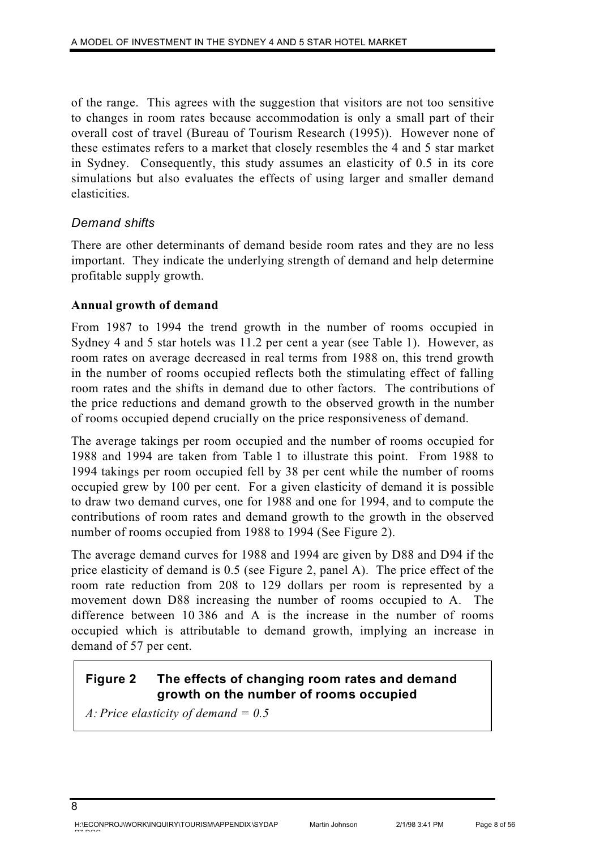of the range. This agrees with the suggestion that visitors are not too sensitive to changes in room rates because accommodation is only a small part of their overall cost of travel (Bureau of Tourism Research (1995)). However none of these estimates refers to a market that closely resembles the 4 and 5 star market in Sydney. Consequently, this study assumes an elasticity of 0.5 in its core simulations but also evaluates the effects of using larger and smaller demand elasticities.

# *Demand shifts*

There are other determinants of demand beside room rates and they are no less important. They indicate the underlying strength of demand and help determine profitable supply growth.

### **Annual growth of demand**

From 1987 to 1994 the trend growth in the number of rooms occupied in Sydney 4 and 5 star hotels was 11.2 per cent a year (see Table 1). However, as room rates on average decreased in real terms from 1988 on, this trend growth in the number of rooms occupied reflects both the stimulating effect of falling room rates and the shifts in demand due to other factors. The contributions of the price reductions and demand growth to the observed growth in the number of rooms occupied depend crucially on the price responsiveness of demand.

The average takings per room occupied and the number of rooms occupied for 1988 and 1994 are taken from Table 1 to illustrate this point. From 1988 to 1994 takings per room occupied fell by 38 per cent while the number of rooms occupied grew by 100 per cent. For a given elasticity of demand it is possible to draw two demand curves, one for 1988 and one for 1994, and to compute the contributions of room rates and demand growth to the growth in the observed number of rooms occupied from 1988 to 1994 (See Figure 2).

The average demand curves for 1988 and 1994 are given by D88 and D94 if the price elasticity of demand is 0.5 (see Figure 2, panel A). The price effect of the room rate reduction from 208 to 129 dollars per room is represented by a movement down D88 increasing the number of rooms occupied to A. The difference between 10 386 and A is the increase in the number of rooms occupied which is attributable to demand growth, implying an increase in demand of 57 per cent.

# **Figure 2 The effects of changing room rates and demand growth on the number of rooms occupied**

*A: Price elasticity of demand = 0.5*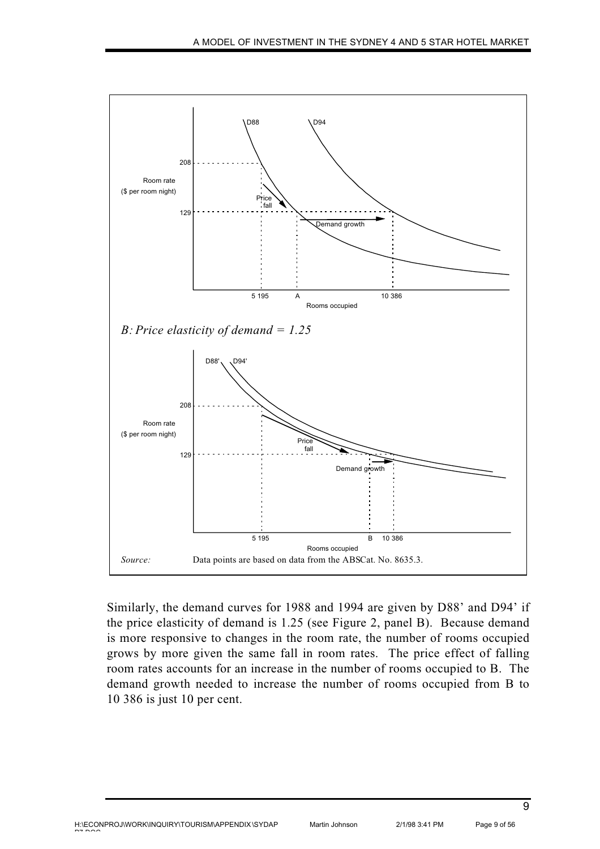

Similarly, the demand curves for 1988 and 1994 are given by D88' and D94' if the price elasticity of demand is 1.25 (see Figure 2, panel B). Because demand is more responsive to changes in the room rate, the number of rooms occupied grows by more given the same fall in room rates. The price effect of falling room rates accounts for an increase in the number of rooms occupied to B. The demand growth needed to increase the number of rooms occupied from B to 10 386 is just 10 per cent.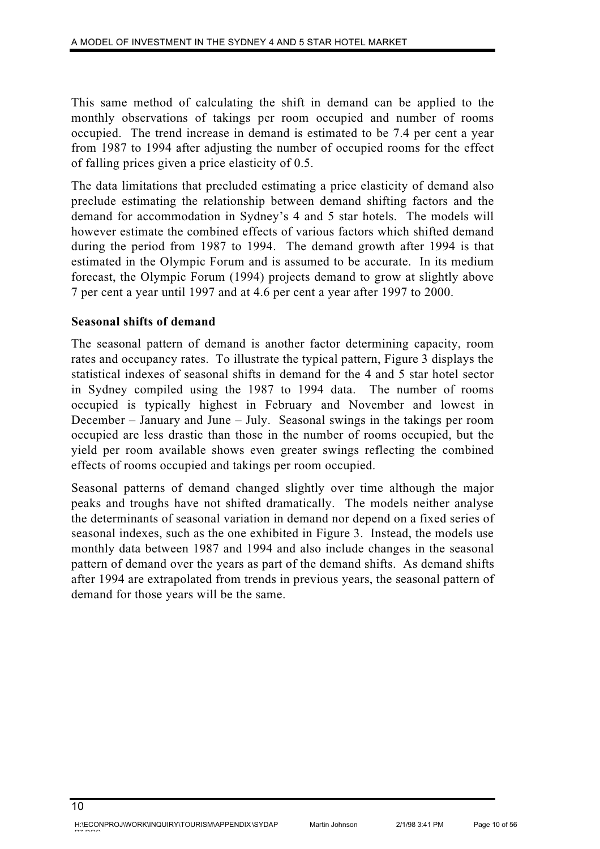This same method of calculating the shift in demand can be applied to the monthly observations of takings per room occupied and number of rooms occupied. The trend increase in demand is estimated to be 7.4 per cent a year from 1987 to 1994 after adjusting the number of occupied rooms for the effect of falling prices given a price elasticity of 0.5.

The data limitations that precluded estimating a price elasticity of demand also preclude estimating the relationship between demand shifting factors and the demand for accommodation in Sydney's 4 and 5 star hotels. The models will however estimate the combined effects of various factors which shifted demand during the period from 1987 to 1994. The demand growth after 1994 is that estimated in the Olympic Forum and is assumed to be accurate. In its medium forecast, the Olympic Forum (1994) projects demand to grow at slightly above 7 per cent a year until 1997 and at 4.6 per cent a year after 1997 to 2000.

### **Seasonal shifts of demand**

The seasonal pattern of demand is another factor determining capacity, room rates and occupancy rates. To illustrate the typical pattern, Figure 3 displays the statistical indexes of seasonal shifts in demand for the 4 and 5 star hotel sector in Sydney compiled using the 1987 to 1994 data. The number of rooms occupied is typically highest in February and November and lowest in December – January and June – July. Seasonal swings in the takings per room occupied are less drastic than those in the number of rooms occupied, but the yield per room available shows even greater swings reflecting the combined effects of rooms occupied and takings per room occupied.

Seasonal patterns of demand changed slightly over time although the major peaks and troughs have not shifted dramatically. The models neither analyse the determinants of seasonal variation in demand nor depend on a fixed series of seasonal indexes, such as the one exhibited in Figure 3. Instead, the models use monthly data between 1987 and 1994 and also include changes in the seasonal pattern of demand over the years as part of the demand shifts. As demand shifts after 1994 are extrapolated from trends in previous years, the seasonal pattern of demand for those years will be the same.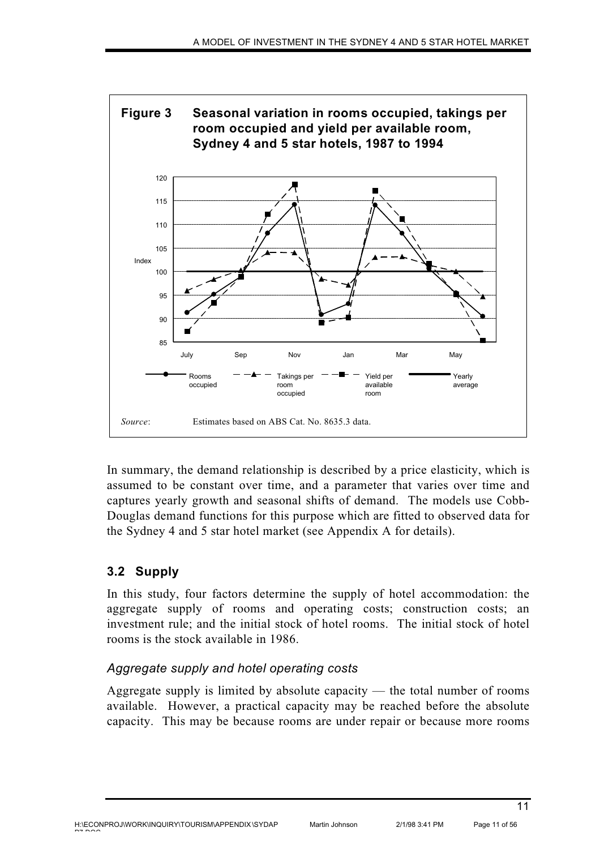

In summary, the demand relationship is described by a price elasticity, which is assumed to be constant over time, and a parameter that varies over time and captures yearly growth and seasonal shifts of demand. The models use Cobb-Douglas demand functions for this purpose which are fitted to observed data for the Sydney 4 and 5 star hotel market (see Appendix A for details).

# **3.2 Supply**

In this study, four factors determine the supply of hotel accommodation: the aggregate supply of rooms and operating costs; construction costs; an investment rule; and the initial stock of hotel rooms. The initial stock of hotel rooms is the stock available in 1986.

# *Aggregate supply and hotel operating costs*

Aggregate supply is limited by absolute capacity — the total number of rooms available. However, a practical capacity may be reached before the absolute capacity. This may be because rooms are under repair or because more rooms

pp pp o o

11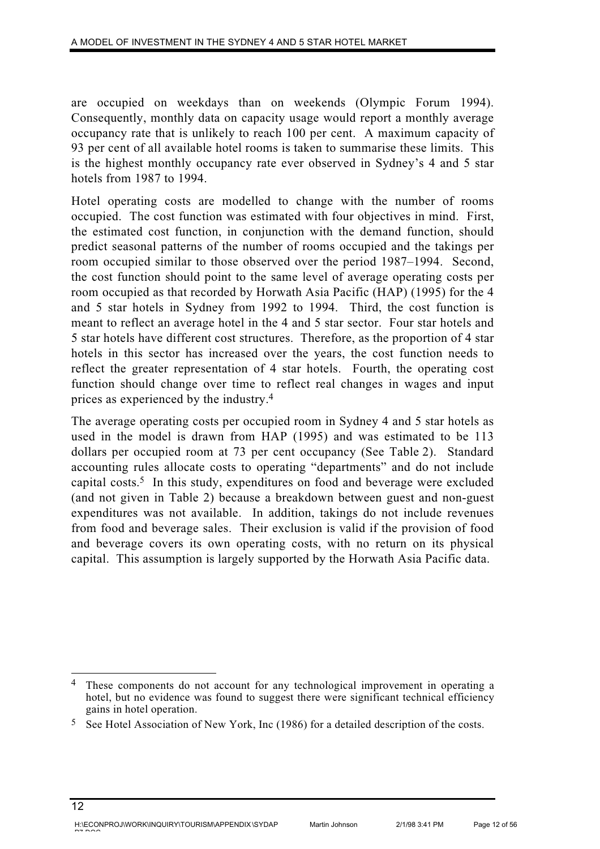are occupied on weekdays than on weekends (Olympic Forum 1994). Consequently, monthly data on capacity usage would report a monthly average occupancy rate that is unlikely to reach 100 per cent. A maximum capacity of 93 per cent of all available hotel rooms is taken to summarise these limits. This is the highest monthly occupancy rate ever observed in Sydney's 4 and 5 star hotels from 1987 to 1994.

Hotel operating costs are modelled to change with the number of rooms occupied. The cost function was estimated with four objectives in mind. First, the estimated cost function, in conjunction with the demand function, should predict seasonal patterns of the number of rooms occupied and the takings per room occupied similar to those observed over the period 1987–1994. Second, the cost function should point to the same level of average operating costs per room occupied as that recorded by Horwath Asia Pacific (HAP) (1995) for the 4 and 5 star hotels in Sydney from 1992 to 1994. Third, the cost function is meant to reflect an average hotel in the 4 and 5 star sector. Four star hotels and 5 star hotels have different cost structures. Therefore, as the proportion of 4 star hotels in this sector has increased over the years, the cost function needs to reflect the greater representation of 4 star hotels. Fourth, the operating cost function should change over time to reflect real changes in wages and input prices as experienced by the industry.4

The average operating costs per occupied room in Sydney 4 and 5 star hotels as used in the model is drawn from HAP (1995) and was estimated to be 113 dollars per occupied room at 73 per cent occupancy (See Table 2). Standard accounting rules allocate costs to operating "departments" and do not include capital costs.5 In this study, expenditures on food and beverage were excluded (and not given in Table 2) because a breakdown between guest and non-guest expenditures was not available. In addition, takings do not include revenues from food and beverage sales. Their exclusion is valid if the provision of food and beverage covers its own operating costs, with no return on its physical capital. This assumption is largely supported by the Horwath Asia Pacific data.

<sup>4</sup> These components do not account for any technological improvement in operating a hotel, but no evidence was found to suggest there were significant technical efficiency gains in hotel operation.

 $5$  See Hotel Association of New York, Inc (1986) for a detailed description of the costs.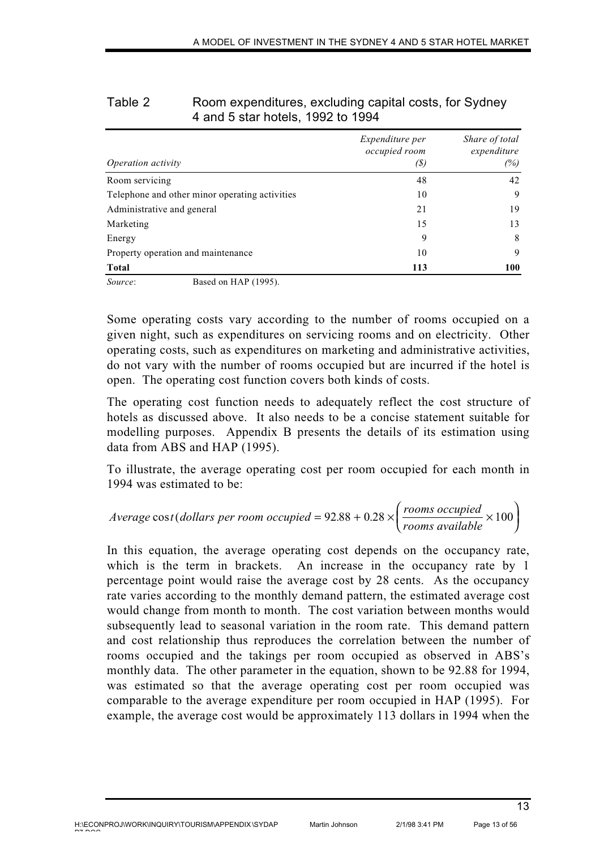| Operation activity                             | <i>Expenditure per</i><br>occupied room<br>(S) | Share of total<br>expenditure<br>(%) |
|------------------------------------------------|------------------------------------------------|--------------------------------------|
| Room servicing                                 | 48                                             | 42                                   |
| Telephone and other minor operating activities | 10                                             | 9                                    |
| Administrative and general                     | 21                                             | 19                                   |
| Marketing                                      | 15                                             | 13                                   |
| Energy                                         | 9                                              | 8                                    |
| Property operation and maintenance             | 10                                             | 9                                    |
| Total                                          | 113                                            | 100                                  |
| Source:<br>Based on HAP (1995).                |                                                |                                      |

### Table 2 Room expenditures, excluding capital costs, for Sydney 4 and 5 star hotels, 1992 to 1994

Some operating costs vary according to the number of rooms occupied on a given night, such as expenditures on servicing rooms and on electricity. Other operating costs, such as expenditures on marketing and administrative activities, do not vary with the number of rooms occupied but are incurred if the hotel is open. The operating cost function covers both kinds of costs.

The operating cost function needs to adequately reflect the cost structure of hotels as discussed above. It also needs to be a concise statement suitable for modelling purposes. Appendix B presents the details of its estimation using data from ABS and HAP (1995).

To illustrate, the average operating cost per room occupied for each month in 1994 was estimated to be:

$$
Average \cos t (dollars \text{ per room occupied} = 92.88 + 0.28 \times \left(\frac{\text{rooms occupied}}{\text{rooms available}} \times 100\right)
$$

In this equation, the average operating cost depends on the occupancy rate, which is the term in brackets. An increase in the occupancy rate by 1 percentage point would raise the average cost by 28 cents. As the occupancy rate varies according to the monthly demand pattern, the estimated average cost would change from month to month. The cost variation between months would subsequently lead to seasonal variation in the room rate. This demand pattern and cost relationship thus reproduces the correlation between the number of rooms occupied and the takings per room occupied as observed in ABS's monthly data. The other parameter in the equation, shown to be 92.88 for 1994, was estimated so that the average operating cost per room occupied was comparable to the average expenditure per room occupied in HAP (1995). For example, the average cost would be approximately 113 dollars in 1994 when the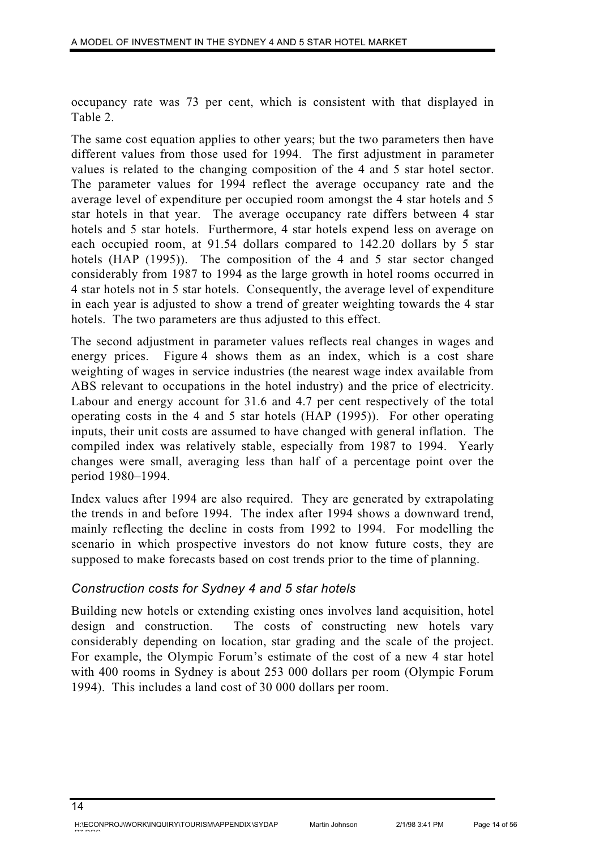occupancy rate was 73 per cent, which is consistent with that displayed in Table 2.

The same cost equation applies to other years; but the two parameters then have different values from those used for 1994. The first adjustment in parameter values is related to the changing composition of the 4 and 5 star hotel sector. The parameter values for 1994 reflect the average occupancy rate and the average level of expenditure per occupied room amongst the 4 star hotels and 5 star hotels in that year. The average occupancy rate differs between 4 star hotels and 5 star hotels. Furthermore, 4 star hotels expend less on average on each occupied room, at 91.54 dollars compared to 142.20 dollars by 5 star hotels (HAP (1995)). The composition of the 4 and 5 star sector changed considerably from 1987 to 1994 as the large growth in hotel rooms occurred in 4 star hotels not in 5 star hotels. Consequently, the average level of expenditure in each year is adjusted to show a trend of greater weighting towards the 4 star hotels. The two parameters are thus adjusted to this effect.

The second adjustment in parameter values reflects real changes in wages and energy prices. Figure 4 shows them as an index, which is a cost share weighting of wages in service industries (the nearest wage index available from ABS relevant to occupations in the hotel industry) and the price of electricity. Labour and energy account for 31.6 and 4.7 per cent respectively of the total operating costs in the 4 and 5 star hotels (HAP (1995)). For other operating inputs, their unit costs are assumed to have changed with general inflation. The compiled index was relatively stable, especially from 1987 to 1994. Yearly changes were small, averaging less than half of a percentage point over the period 1980–1994.

Index values after 1994 are also required. They are generated by extrapolating the trends in and before 1994. The index after 1994 shows a downward trend, mainly reflecting the decline in costs from 1992 to 1994. For modelling the scenario in which prospective investors do not know future costs, they are supposed to make forecasts based on cost trends prior to the time of planning.

### *Construction costs for Sydney 4 and 5 star hotels*

Building new hotels or extending existing ones involves land acquisition, hotel design and construction. The costs of constructing new hotels vary considerably depending on location, star grading and the scale of the project. For example, the Olympic Forum's estimate of the cost of a new 4 star hotel with 400 rooms in Sydney is about 253 000 dollars per room (Olympic Forum 1994). This includes a land cost of 30 000 dollars per room.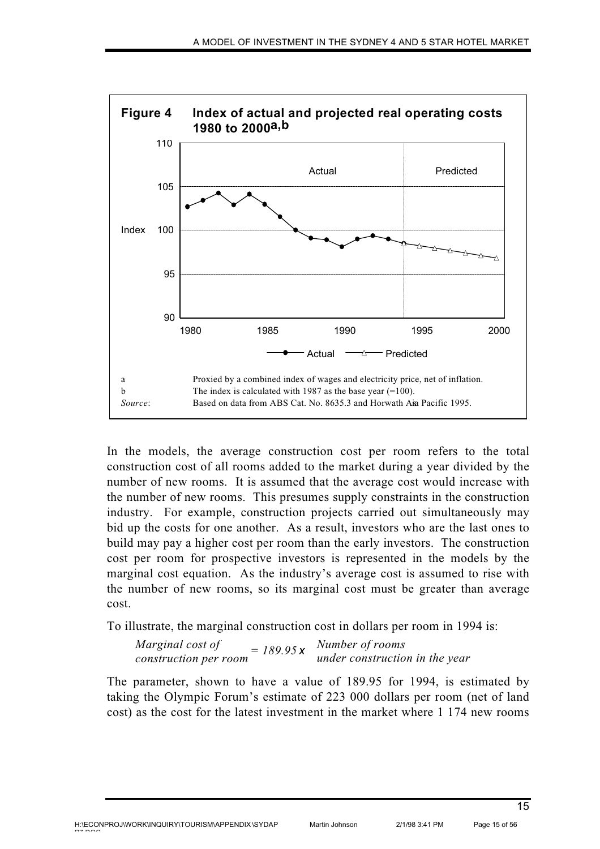

In the models, the average construction cost per room refers to the total construction cost of all rooms added to the market during a year divided by the number of new rooms. It is assumed that the average cost would increase with the number of new rooms. This presumes supply constraints in the construction industry. For example, construction projects carried out simultaneously may bid up the costs for one another. As a result, investors who are the last ones to build may pay a higher cost per room than the early investors. The construction cost per room for prospective investors is represented in the models by the marginal cost equation. As the industry's average cost is assumed to rise with the number of new rooms, so its marginal cost must be greater than average cost.

To illustrate, the marginal construction cost in dollars per room in 1994 is:

*Marginal cost of construction per room = 189.95 Number of rooms under construction in the year <sup>x</sup>*

The parameter, shown to have a value of 189.95 for 1994, is estimated by taking the Olympic Forum's estimate of 223 000 dollars per room (net of land cost) as the cost for the latest investment in the market where 1 174 new rooms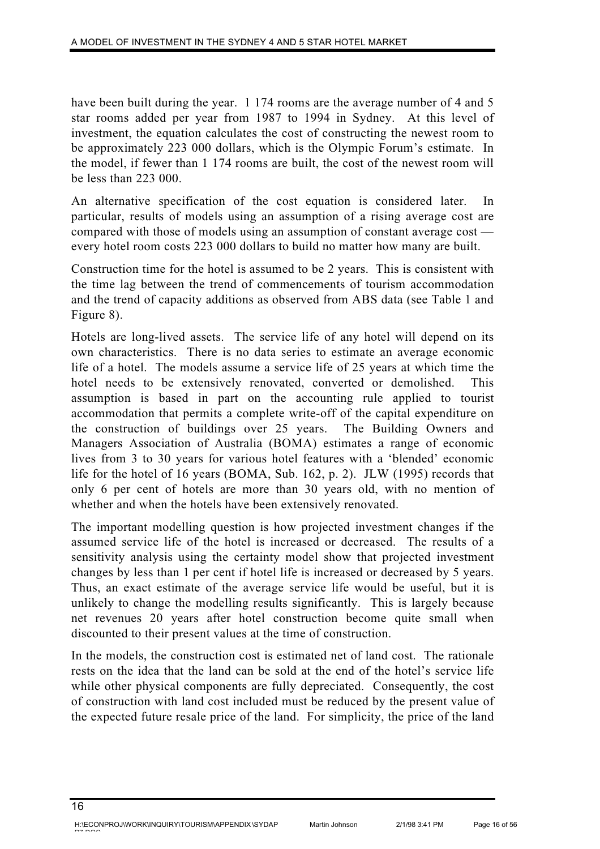have been built during the year. 1 174 rooms are the average number of 4 and 5 star rooms added per year from 1987 to 1994 in Sydney. At this level of investment, the equation calculates the cost of constructing the newest room to be approximately 223 000 dollars, which is the Olympic Forum's estimate. In the model, if fewer than 1 174 rooms are built, the cost of the newest room will be less than 223 000.

An alternative specification of the cost equation is considered later. In particular, results of models using an assumption of a rising average cost are compared with those of models using an assumption of constant average cost every hotel room costs 223 000 dollars to build no matter how many are built.

Construction time for the hotel is assumed to be 2 years. This is consistent with the time lag between the trend of commencements of tourism accommodation and the trend of capacity additions as observed from ABS data (see Table 1 and Figure 8).

Hotels are long-lived assets. The service life of any hotel will depend on its own characteristics. There is no data series to estimate an average economic life of a hotel. The models assume a service life of 25 years at which time the hotel needs to be extensively renovated, converted or demolished. This assumption is based in part on the accounting rule applied to tourist accommodation that permits a complete write-off of the capital expenditure on the construction of buildings over 25 years. The Building Owners and Managers Association of Australia (BOMA) estimates a range of economic lives from 3 to 30 years for various hotel features with a 'blended' economic life for the hotel of 16 years (BOMA, Sub. 162, p. 2). JLW (1995) records that only 6 per cent of hotels are more than 30 years old, with no mention of whether and when the hotels have been extensively renovated.

The important modelling question is how projected investment changes if the assumed service life of the hotel is increased or decreased. The results of a sensitivity analysis using the certainty model show that projected investment changes by less than 1 per cent if hotel life is increased or decreased by 5 years. Thus, an exact estimate of the average service life would be useful, but it is unlikely to change the modelling results significantly. This is largely because net revenues 20 years after hotel construction become quite small when discounted to their present values at the time of construction.

In the models, the construction cost is estimated net of land cost. The rationale rests on the idea that the land can be sold at the end of the hotel's service life while other physical components are fully depreciated. Consequently, the cost of construction with land cost included must be reduced by the present value of the expected future resale price of the land. For simplicity, the price of the land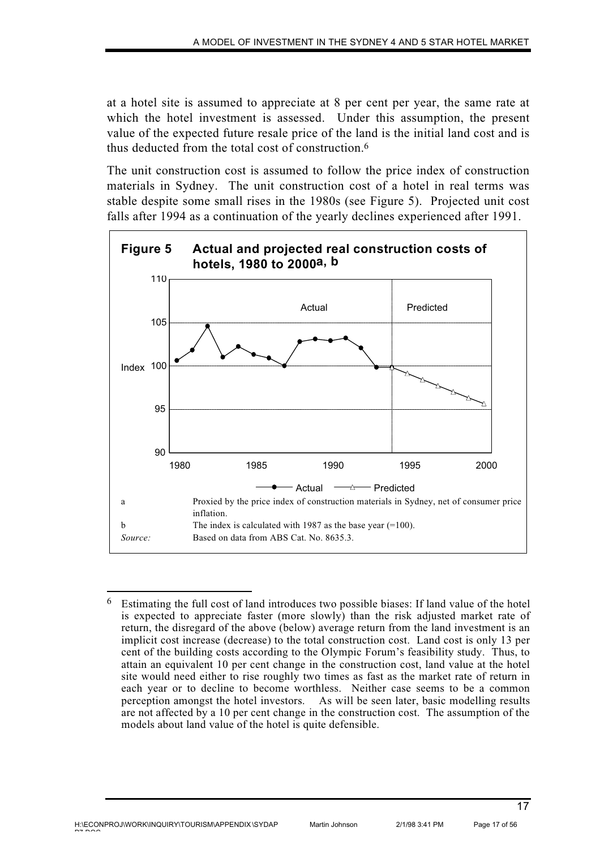at a hotel site is assumed to appreciate at 8 per cent per year, the same rate at which the hotel investment is assessed. Under this assumption, the present value of the expected future resale price of the land is the initial land cost and is thus deducted from the total cost of construction.6

The unit construction cost is assumed to follow the price index of construction materials in Sydney. The unit construction cost of a hotel in real terms was stable despite some small rises in the 1980s (see Figure 5). Projected unit cost falls after 1994 as a continuation of the yearly declines experienced after 1991.



<sup>6</sup> Estimating the full cost of land introduces two possible biases: If land value of the hotel is expected to appreciate faster (more slowly) than the risk adjusted market rate of return, the disregard of the above (below) average return from the land investment is an implicit cost increase (decrease) to the total construction cost. Land cost is only 13 per cent of the building costs according to the Olympic Forum's feasibility study. Thus, to attain an equivalent 10 per cent change in the construction cost, land value at the hotel site would need either to rise roughly two times as fast as the market rate of return in each year or to decline to become worthless. Neither case seems to be a common perception amongst the hotel investors. As will be seen later, basic modelling results are not affected by a 10 per cent change in the construction cost. The assumption of the models about land value of the hotel is quite defensible.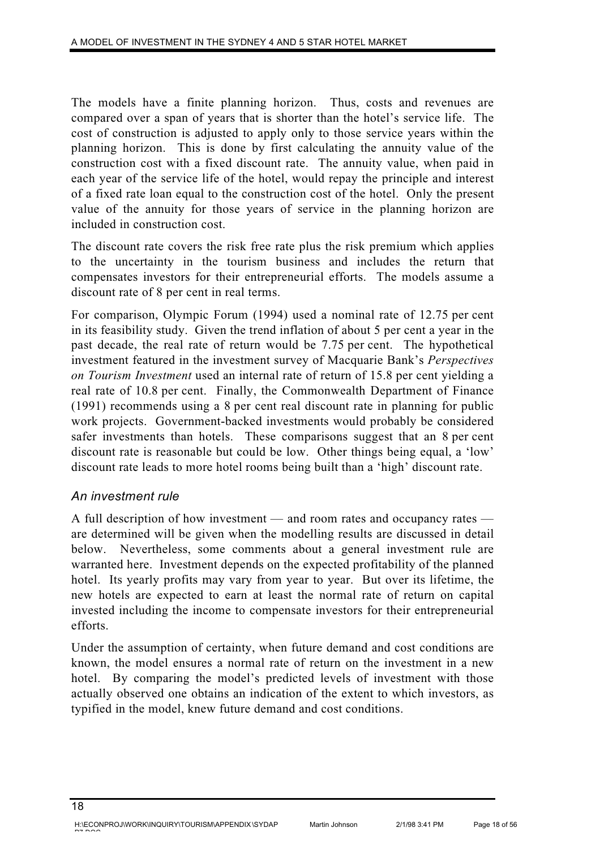The models have a finite planning horizon. Thus, costs and revenues are compared over a span of years that is shorter than the hotel's service life. The cost of construction is adjusted to apply only to those service years within the planning horizon. This is done by first calculating the annuity value of the construction cost with a fixed discount rate. The annuity value, when paid in each year of the service life of the hotel, would repay the principle and interest of a fixed rate loan equal to the construction cost of the hotel. Only the present value of the annuity for those years of service in the planning horizon are included in construction cost.

The discount rate covers the risk free rate plus the risk premium which applies to the uncertainty in the tourism business and includes the return that compensates investors for their entrepreneurial efforts. The models assume a discount rate of 8 per cent in real terms.

For comparison, Olympic Forum (1994) used a nominal rate of 12.75 per cent in its feasibility study. Given the trend inflation of about 5 per cent a year in the past decade, the real rate of return would be 7.75 per cent. The hypothetical investment featured in the investment survey of Macquarie Bank's *Perspectives on Tourism Investment* used an internal rate of return of 15.8 per cent yielding a real rate of 10.8 per cent. Finally, the Commonwealth Department of Finance (1991) recommends using a 8 per cent real discount rate in planning for public work projects. Government-backed investments would probably be considered safer investments than hotels. These comparisons suggest that an 8 per cent discount rate is reasonable but could be low. Other things being equal, a 'low' discount rate leads to more hotel rooms being built than a 'high' discount rate.

# *An investment rule*

A full description of how investment — and room rates and occupancy rates are determined will be given when the modelling results are discussed in detail below. Nevertheless, some comments about a general investment rule are warranted here. Investment depends on the expected profitability of the planned hotel. Its yearly profits may vary from year to year. But over its lifetime, the new hotels are expected to earn at least the normal rate of return on capital invested including the income to compensate investors for their entrepreneurial efforts.

Under the assumption of certainty, when future demand and cost conditions are known, the model ensures a normal rate of return on the investment in a new hotel. By comparing the model's predicted levels of investment with those actually observed one obtains an indication of the extent to which investors, as typified in the model, knew future demand and cost conditions.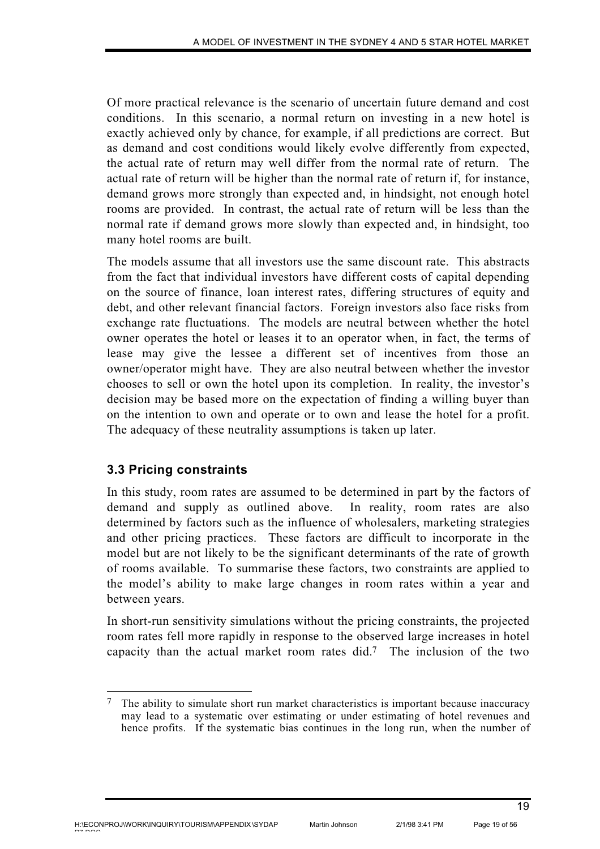Of more practical relevance is the scenario of uncertain future demand and cost conditions. In this scenario, a normal return on investing in a new hotel is exactly achieved only by chance, for example, if all predictions are correct. But as demand and cost conditions would likely evolve differently from expected, the actual rate of return may well differ from the normal rate of return. The actual rate of return will be higher than the normal rate of return if, for instance, demand grows more strongly than expected and, in hindsight, not enough hotel rooms are provided. In contrast, the actual rate of return will be less than the normal rate if demand grows more slowly than expected and, in hindsight, too many hotel rooms are built.

The models assume that all investors use the same discount rate. This abstracts from the fact that individual investors have different costs of capital depending on the source of finance, loan interest rates, differing structures of equity and debt, and other relevant financial factors. Foreign investors also face risks from exchange rate fluctuations. The models are neutral between whether the hotel owner operates the hotel or leases it to an operator when, in fact, the terms of lease may give the lessee a different set of incentives from those an owner/operator might have. They are also neutral between whether the investor chooses to sell or own the hotel upon its completion. In reality, the investor's decision may be based more on the expectation of finding a willing buyer than on the intention to own and operate or to own and lease the hotel for a profit. The adequacy of these neutrality assumptions is taken up later.

# **3.3 Pricing constraints**

In this study, room rates are assumed to be determined in part by the factors of demand and supply as outlined above. In reality, room rates are also determined by factors such as the influence of wholesalers, marketing strategies and other pricing practices. These factors are difficult to incorporate in the model but are not likely to be the significant determinants of the rate of growth of rooms available. To summarise these factors, two constraints are applied to the model's ability to make large changes in room rates within a year and between years.

In short-run sensitivity simulations without the pricing constraints, the projected room rates fell more rapidly in response to the observed large increases in hotel capacity than the actual market room rates did.7 The inclusion of the two

<sup>7</sup> The ability to simulate short run market characteristics is important because inaccuracy may lead to a systematic over estimating or under estimating of hotel revenues and hence profits. If the systematic bias continues in the long run, when the number of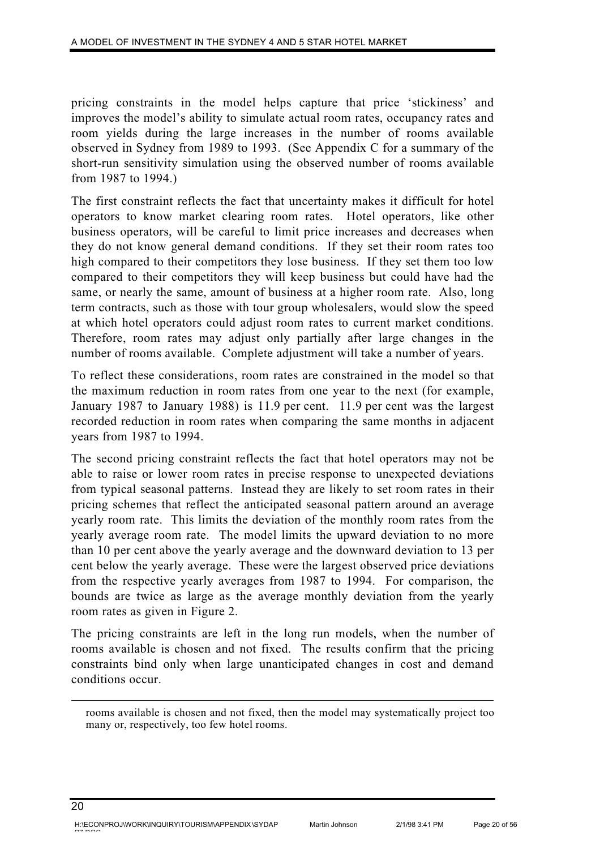pricing constraints in the model helps capture that price 'stickiness' and improves the model's ability to simulate actual room rates, occupancy rates and room yields during the large increases in the number of rooms available observed in Sydney from 1989 to 1993. (See Appendix C for a summary of the short-run sensitivity simulation using the observed number of rooms available from 1987 to 1994.)

The first constraint reflects the fact that uncertainty makes it difficult for hotel operators to know market clearing room rates. Hotel operators, like other business operators, will be careful to limit price increases and decreases when they do not know general demand conditions. If they set their room rates too high compared to their competitors they lose business. If they set them too low compared to their competitors they will keep business but could have had the same, or nearly the same, amount of business at a higher room rate. Also, long term contracts, such as those with tour group wholesalers, would slow the speed at which hotel operators could adjust room rates to current market conditions. Therefore, room rates may adjust only partially after large changes in the number of rooms available. Complete adjustment will take a number of years.

To reflect these considerations, room rates are constrained in the model so that the maximum reduction in room rates from one year to the next (for example, January 1987 to January 1988) is 11.9 per cent. 11.9 per cent was the largest recorded reduction in room rates when comparing the same months in adjacent years from 1987 to 1994.

The second pricing constraint reflects the fact that hotel operators may not be able to raise or lower room rates in precise response to unexpected deviations from typical seasonal patterns. Instead they are likely to set room rates in their pricing schemes that reflect the anticipated seasonal pattern around an average yearly room rate. This limits the deviation of the monthly room rates from the yearly average room rate. The model limits the upward deviation to no more than 10 per cent above the yearly average and the downward deviation to 13 per cent below the yearly average. These were the largest observed price deviations from the respective yearly averages from 1987 to 1994. For comparison, the bounds are twice as large as the average monthly deviation from the yearly room rates as given in Figure 2.

The pricing constraints are left in the long run models, when the number of rooms available is chosen and not fixed. The results confirm that the pricing constraints bind only when large unanticipated changes in cost and demand conditions occur.

rooms available is chosen and not fixed, then the model may systematically project too many or, respectively, too few hotel rooms.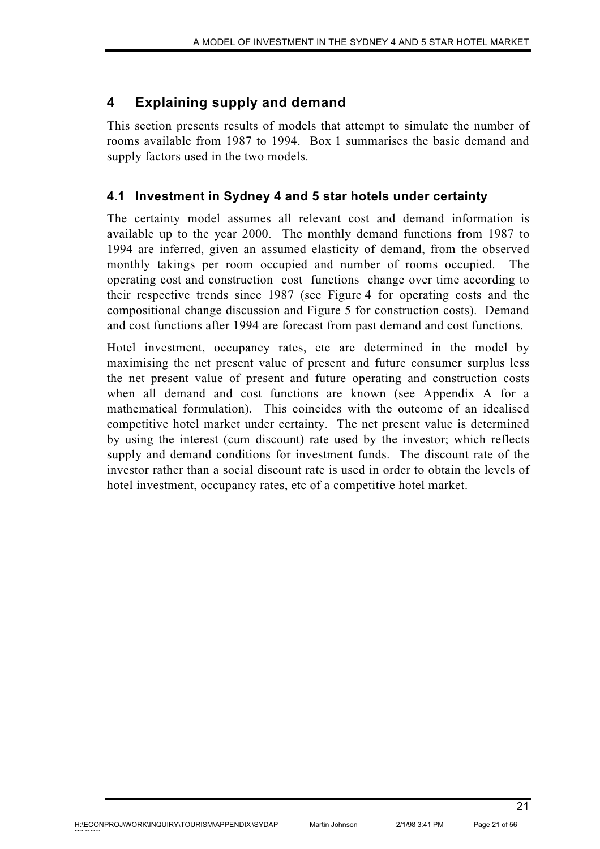# **4 Explaining supply and demand**

This section presents results of models that attempt to simulate the number of rooms available from 1987 to 1994. Box 1 summarises the basic demand and supply factors used in the two models.

# **4.1 Investment in Sydney 4 and 5 star hotels under certainty**

The certainty model assumes all relevant cost and demand information is available up to the year 2000. The monthly demand functions from 1987 to 1994 are inferred, given an assumed elasticity of demand, from the observed monthly takings per room occupied and number of rooms occupied. operating cost and construction cost functions change over time according to their respective trends since 1987 (see Figure 4 for operating costs and the compositional change discussion and Figure 5 for construction costs). Demand and cost functions after 1994 are forecast from past demand and cost functions.

Hotel investment, occupancy rates, etc are determined in the model by maximising the net present value of present and future consumer surplus less the net present value of present and future operating and construction costs when all demand and cost functions are known (see Appendix A for a mathematical formulation). This coincides with the outcome of an idealised competitive hotel market under certainty. The net present value is determined by using the interest (cum discount) rate used by the investor; which reflects supply and demand conditions for investment funds. The discount rate of the investor rather than a social discount rate is used in order to obtain the levels of hotel investment, occupancy rates, etc of a competitive hotel market.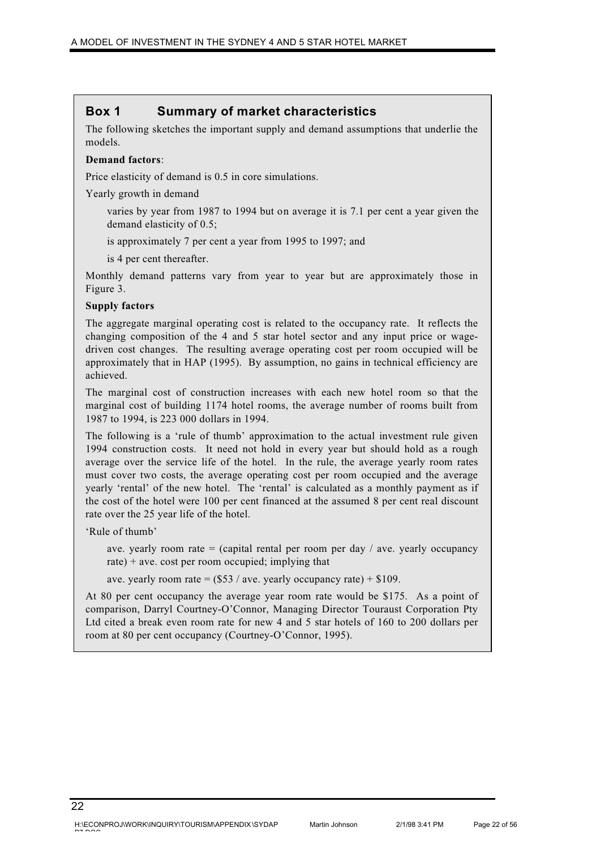# **Box 1 Summary of market characteristics**

The following sketches the important supply and demand assumptions that underlie the models.

#### **Demand factors**:

Price elasticity of demand is 0.5 in core simulations.

Yearly growth in demand

varies by year from 1987 to 1994 but on average it is 7.1 per cent a year given the demand elasticity of 0.5;

is approximately 7 per cent a year from 1995 to 1997; and

is 4 per cent thereafter.

Monthly demand patterns vary from year to year but are approximately those in Figure 3.

#### **Supply factors**

The aggregate marginal operating cost is related to the occupancy rate. It reflects the changing composition of the 4 and 5 star hotel sector and any input price or wagedriven cost changes. The resulting average operating cost per room occupied will be approximately that in HAP (1995). By assumption, no gains in technical efficiency are achieved.

The marginal cost of construction increases with each new hotel room so that the marginal cost of building 1174 hotel rooms, the average number of rooms built from 1987 to 1994, is 223 000 dollars in 1994.

The following is a 'rule of thumb' approximation to the actual investment rule given 1994 construction costs. It need not hold in every year but should hold as a rough average over the service life of the hotel. In the rule, the average yearly room rates must cover two costs, the average operating cost per room occupied and the average yearly 'rental' of the new hotel. The 'rental' is calculated as a monthly payment as if the cost of the hotel were 100 per cent financed at the assumed 8 per cent real discount rate over the 25 year life of the hotel.

'Rule of thumb'

ave. yearly room rate  $=$  (capital rental per room per day / ave. yearly occupancy rate)  $+$  ave. cost per room occupied; implying that

ave. yearly room rate =  $(\$53 / \text{ave}$ . yearly occupancy rate) + \$109.

At 80 per cent occupancy the average year room rate would be \$175. As a point of comparison, Darryl Courtney-O'Connor, Managing Director Touraust Corporation Pty Ltd cited a break even room rate for new 4 and 5 star hotels of 160 to 200 dollars per room at 80 per cent occupancy (Courtney-O'Connor, 1995).

Martin Johnson 2/1/98 3:41 PM Page 22 of 56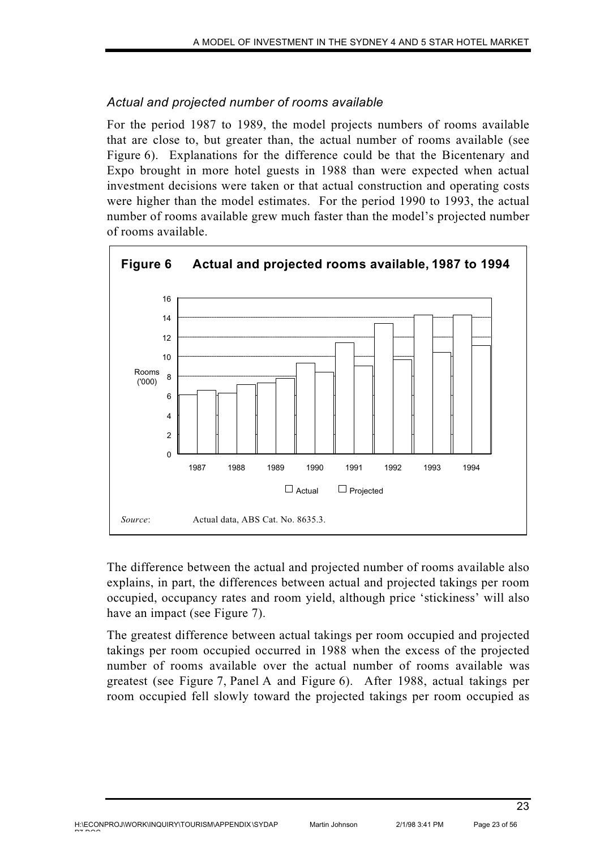# *Actual and projected number of rooms available*

For the period 1987 to 1989, the model projects numbers of rooms available that are close to, but greater than, the actual number of rooms available (see Figure 6). Explanations for the difference could be that the Bicentenary and Expo brought in more hotel guests in 1988 than were expected when actual investment decisions were taken or that actual construction and operating costs were higher than the model estimates. For the period 1990 to 1993, the actual number of rooms available grew much faster than the model's projected number of rooms available.



The difference between the actual and projected number of rooms available also explains, in part, the differences between actual and projected takings per room occupied, occupancy rates and room yield, although price 'stickiness' will also have an impact (see Figure 7).

The greatest difference between actual takings per room occupied and projected takings per room occupied occurred in 1988 when the excess of the projected number of rooms available over the actual number of rooms available was greatest (see Figure 7, Panel A and Figure 6). After 1988, actual takings per room occupied fell slowly toward the projected takings per room occupied as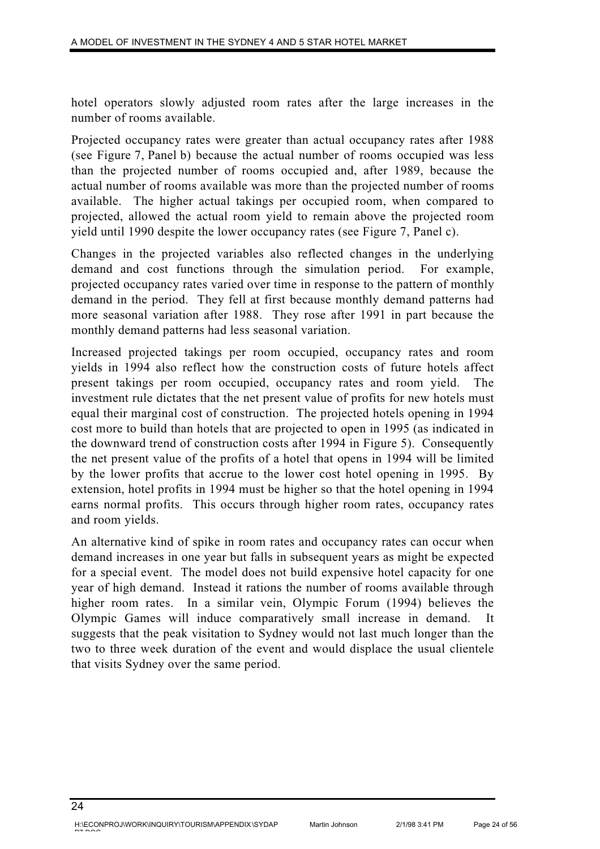hotel operators slowly adjusted room rates after the large increases in the number of rooms available.

Projected occupancy rates were greater than actual occupancy rates after 1988 (see Figure 7, Panel b) because the actual number of rooms occupied was less than the projected number of rooms occupied and, after 1989, because the actual number of rooms available was more than the projected number of rooms available. The higher actual takings per occupied room, when compared to projected, allowed the actual room yield to remain above the projected room yield until 1990 despite the lower occupancy rates (see Figure 7, Panel c).

Changes in the projected variables also reflected changes in the underlying demand and cost functions through the simulation period. For example, projected occupancy rates varied over time in response to the pattern of monthly demand in the period. They fell at first because monthly demand patterns had more seasonal variation after 1988. They rose after 1991 in part because the monthly demand patterns had less seasonal variation.

Increased projected takings per room occupied, occupancy rates and room yields in 1994 also reflect how the construction costs of future hotels affect present takings per room occupied, occupancy rates and room yield. The investment rule dictates that the net present value of profits for new hotels must equal their marginal cost of construction. The projected hotels opening in 1994 cost more to build than hotels that are projected to open in 1995 (as indicated in the downward trend of construction costs after 1994 in Figure 5). Consequently the net present value of the profits of a hotel that opens in 1994 will be limited by the lower profits that accrue to the lower cost hotel opening in 1995. By extension, hotel profits in 1994 must be higher so that the hotel opening in 1994 earns normal profits. This occurs through higher room rates, occupancy rates and room yields.

An alternative kind of spike in room rates and occupancy rates can occur when demand increases in one year but falls in subsequent years as might be expected for a special event. The model does not build expensive hotel capacity for one year of high demand. Instead it rations the number of rooms available through higher room rates. In a similar vein, Olympic Forum (1994) believes the Olympic Games will induce comparatively small increase in demand. It suggests that the peak visitation to Sydney would not last much longer than the two to three week duration of the event and would displace the usual clientele that visits Sydney over the same period.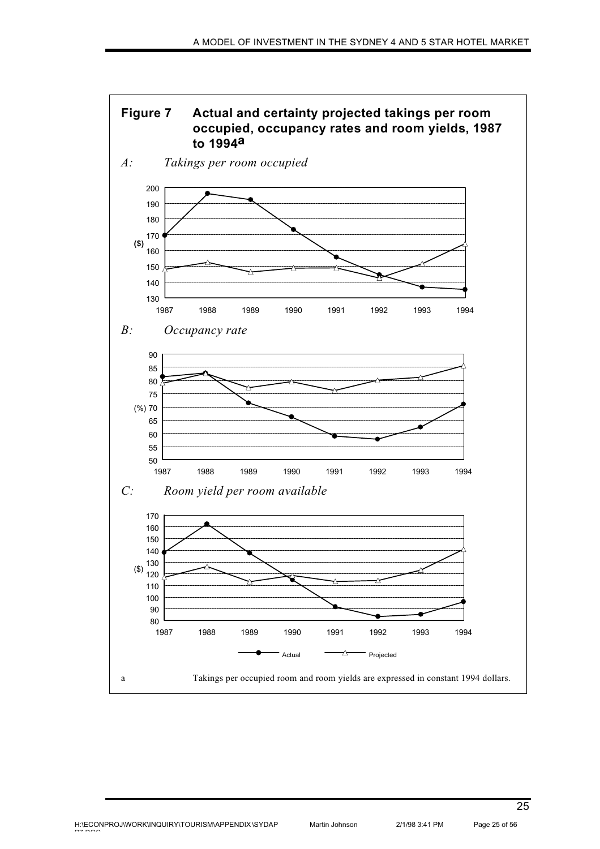

H:\ECONPROJ\WORK\INQUIRY\TOURISM\APPENDIX \SYDAP pp pp o o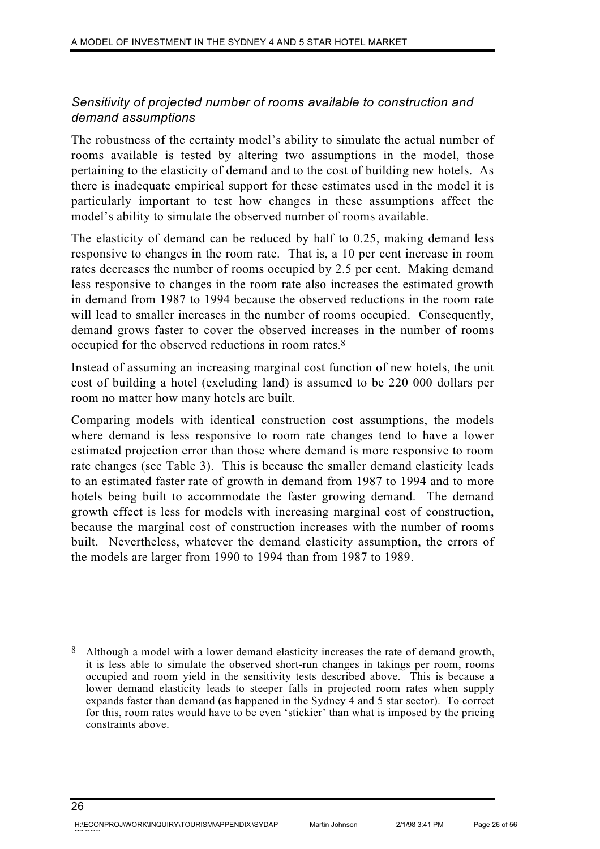# *Sensitivity of projected number of rooms available to construction and demand assumptions*

The robustness of the certainty model's ability to simulate the actual number of rooms available is tested by altering two assumptions in the model, those pertaining to the elasticity of demand and to the cost of building new hotels. As there is inadequate empirical support for these estimates used in the model it is particularly important to test how changes in these assumptions affect the model's ability to simulate the observed number of rooms available.

The elasticity of demand can be reduced by half to 0.25, making demand less responsive to changes in the room rate. That is, a 10 per cent increase in room rates decreases the number of rooms occupied by 2.5 per cent. Making demand less responsive to changes in the room rate also increases the estimated growth in demand from 1987 to 1994 because the observed reductions in the room rate will lead to smaller increases in the number of rooms occupied. Consequently, demand grows faster to cover the observed increases in the number of rooms occupied for the observed reductions in room rates.8

Instead of assuming an increasing marginal cost function of new hotels, the unit cost of building a hotel (excluding land) is assumed to be 220 000 dollars per room no matter how many hotels are built.

Comparing models with identical construction cost assumptions, the models where demand is less responsive to room rate changes tend to have a lower estimated projection error than those where demand is more responsive to room rate changes (see Table 3). This is because the smaller demand elasticity leads to an estimated faster rate of growth in demand from 1987 to 1994 and to more hotels being built to accommodate the faster growing demand. The demand growth effect is less for models with increasing marginal cost of construction, because the marginal cost of construction increases with the number of rooms built. Nevertheless, whatever the demand elasticity assumption, the errors of the models are larger from 1990 to 1994 than from 1987 to 1989.

<sup>8</sup> Although a model with a lower demand elasticity increases the rate of demand growth, it is less able to simulate the observed short-run changes in takings per room, rooms occupied and room yield in the sensitivity tests described above. This is because a lower demand elasticity leads to steeper falls in projected room rates when supply expands faster than demand (as happened in the Sydney 4 and 5 star sector). To correct for this, room rates would have to be even 'stickier' than what is imposed by the pricing constraints above.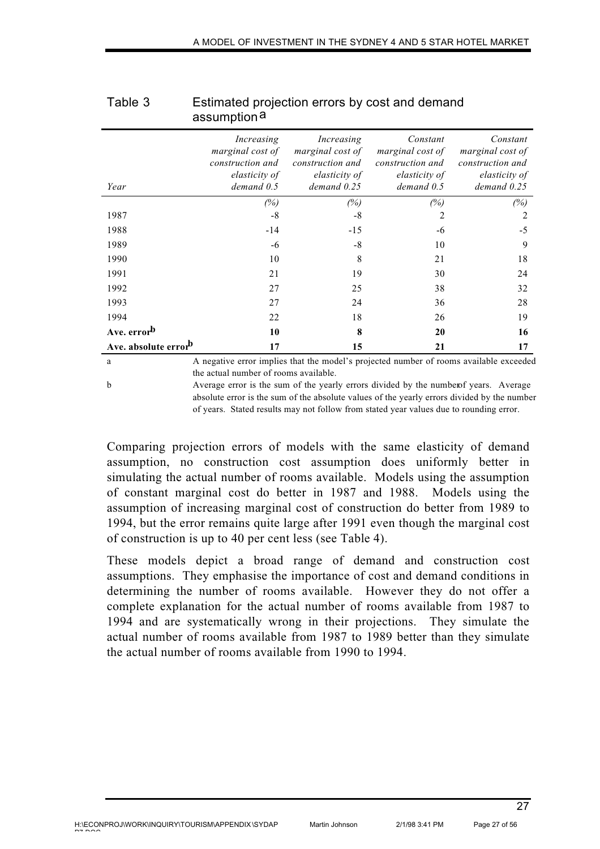|                                  | assumption <sup>a</sup>                                                             |                                                                                                                |                                                                                 |                                                                                      |
|----------------------------------|-------------------------------------------------------------------------------------|----------------------------------------------------------------------------------------------------------------|---------------------------------------------------------------------------------|--------------------------------------------------------------------------------------|
| Year                             | Increasing<br>marginal cost of<br>construction and<br>elasticity of<br>$demand$ 0.5 | Increasing<br>marginal cost of<br>construction and<br>elasticity of<br>$demand$ $0.25$                         | Constant<br>marginal cost of<br>construction and<br>elasticity of<br>demand 0.5 | Constant<br>marginal cost of<br>construction and<br>elasticity of<br>$demand$ $0.25$ |
|                                  | (%)                                                                                 | (%)                                                                                                            | (%)                                                                             | (%)                                                                                  |
| 1987                             | $-8$                                                                                | $-8$                                                                                                           | 2                                                                               | 2                                                                                    |
| 1988                             | $-14$                                                                               | $-15$                                                                                                          | -6                                                                              | $-5$                                                                                 |
| 1989                             | -6                                                                                  | $-8$                                                                                                           | 10                                                                              | 9                                                                                    |
| 1990                             | 10                                                                                  | 8                                                                                                              | 21                                                                              | 18                                                                                   |
| 1991                             | 21                                                                                  | 19                                                                                                             | 30                                                                              | 24                                                                                   |
| 1992                             | 27                                                                                  | 25                                                                                                             | 38                                                                              | 32                                                                                   |
| 1993                             | 27                                                                                  | 24                                                                                                             | 36                                                                              | 28                                                                                   |
| 1994                             | 22                                                                                  | 18                                                                                                             | 26                                                                              | 19                                                                                   |
| Ave. error <sup>b</sup>          | 10                                                                                  | 8                                                                                                              | 20                                                                              | 16                                                                                   |
| Ave. absolute error <sup>b</sup> | 17                                                                                  | 15                                                                                                             | 21                                                                              | 17                                                                                   |
|                                  | $\Lambda$ as $\Lambda$ and $\Lambda$ and $\Lambda$                                  | din in 1986 at the distribution of the continued and continuous contracted and the second of the second second |                                                                                 |                                                                                      |

# Table 3 Estimated projection errors by cost and demand assumption<sup>a</sup>

a A negative error implies that the model's projected number of rooms available exceeded the actual number of rooms available.

b Average error is the sum of the yearly errors divided by the number of years. Average absolute error is the sum of the absolute values of the yearly errors divided by the number of years. Stated results may not follow from stated year values due to rounding error.

Comparing projection errors of models with the same elasticity of demand assumption, no construction cost assumption does uniformly better in simulating the actual number of rooms available. Models using the assumption of constant marginal cost do better in 1987 and 1988. Models using the assumption of increasing marginal cost of construction do better from 1989 to 1994, but the error remains quite large after 1991 even though the marginal cost of construction is up to 40 per cent less (see Table 4).

These models depict a broad range of demand and construction cost assumptions. They emphasise the importance of cost and demand conditions in determining the number of rooms available. However they do not offer a complete explanation for the actual number of rooms available from 1987 to 1994 and are systematically wrong in their projections. They simulate the actual number of rooms available from 1987 to 1989 better than they simulate the actual number of rooms available from 1990 to 1994.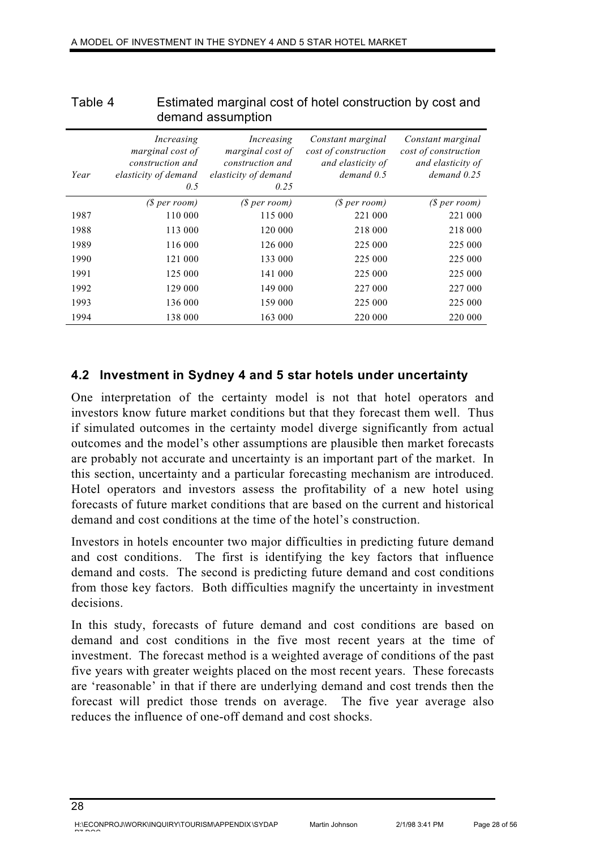|      |                                                                                   | demand assumption                                                                  |                                                                                |                                                                                   |
|------|-----------------------------------------------------------------------------------|------------------------------------------------------------------------------------|--------------------------------------------------------------------------------|-----------------------------------------------------------------------------------|
| Year | Increasing<br>marginal cost of<br>construction and<br>elasticity of demand<br>0.5 | Increasing<br>marginal cost of<br>construction and<br>elasticity of demand<br>0.25 | Constant marginal<br>cost of construction<br>and elasticity of<br>$demand$ 0.5 | Constant marginal<br>cost of construction<br>and elasticity of<br>$demand$ $0.25$ |
|      | (S per room)                                                                      | (S per room)                                                                       | (S per room)                                                                   | (S per room)                                                                      |
| 1987 | 110 000                                                                           | 115 000                                                                            | 221 000                                                                        | 221 000                                                                           |
| 1988 | 113 000                                                                           | 120 000                                                                            | 218 000                                                                        | 218 000                                                                           |
| 1989 | 116 000                                                                           | 126 000                                                                            | 225 000                                                                        | 225 000                                                                           |
| 1990 | 121 000                                                                           | 133 000                                                                            | 225 000                                                                        | 225 000                                                                           |
| 1991 | 125 000                                                                           | 141 000                                                                            | 225 000                                                                        | 225 000                                                                           |
| 1992 | 129 000                                                                           | 149 000                                                                            | 227 000                                                                        | 227 000                                                                           |
| 1993 | 136 000                                                                           | 159 000                                                                            | 225 000                                                                        | 225 000                                                                           |
| 1994 | 138 000                                                                           | 163 000                                                                            | 220 000                                                                        | 220 000                                                                           |

### Table 4 Estimated marginal cost of hotel construction by cost and demand assumption

# **4.2 Investment in Sydney 4 and 5 star hotels under uncertainty**

One interpretation of the certainty model is not that hotel operators and investors know future market conditions but that they forecast them well. Thus if simulated outcomes in the certainty model diverge significantly from actual outcomes and the model's other assumptions are plausible then market forecasts are probably not accurate and uncertainty is an important part of the market. In this section, uncertainty and a particular forecasting mechanism are introduced. Hotel operators and investors assess the profitability of a new hotel using forecasts of future market conditions that are based on the current and historical demand and cost conditions at the time of the hotel's construction.

Investors in hotels encounter two major difficulties in predicting future demand and cost conditions. The first is identifying the key factors that influence demand and costs. The second is predicting future demand and cost conditions from those key factors. Both difficulties magnify the uncertainty in investment decisions.

In this study, forecasts of future demand and cost conditions are based on demand and cost conditions in the five most recent years at the time of investment. The forecast method is a weighted average of conditions of the past five years with greater weights placed on the most recent years. These forecasts are 'reasonable' in that if there are underlying demand and cost trends then the forecast will predict those trends on average. The five year average also reduces the influence of one-off demand and cost shocks.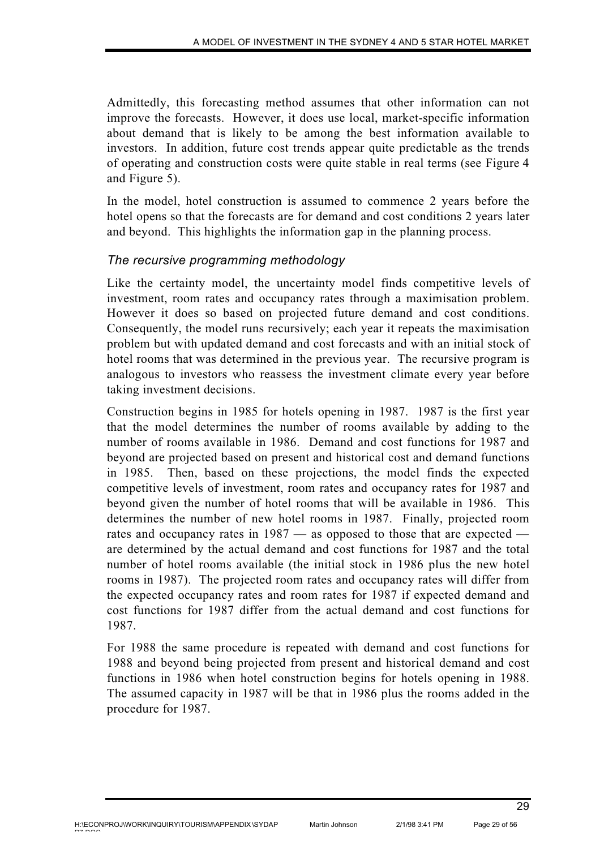Admittedly, this forecasting method assumes that other information can not improve the forecasts. However, it does use local, market-specific information about demand that is likely to be among the best information available to investors. In addition, future cost trends appear quite predictable as the trends of operating and construction costs were quite stable in real terms (see Figure 4 and Figure 5).

In the model, hotel construction is assumed to commence 2 years before the hotel opens so that the forecasts are for demand and cost conditions 2 years later and beyond. This highlights the information gap in the planning process.

# *The recursive programming methodology*

Like the certainty model, the uncertainty model finds competitive levels of investment, room rates and occupancy rates through a maximisation problem. However it does so based on projected future demand and cost conditions. Consequently, the model runs recursively; each year it repeats the maximisation problem but with updated demand and cost forecasts and with an initial stock of hotel rooms that was determined in the previous year. The recursive program is analogous to investors who reassess the investment climate every year before taking investment decisions.

Construction begins in 1985 for hotels opening in 1987. 1987 is the first year that the model determines the number of rooms available by adding to the number of rooms available in 1986. Demand and cost functions for 1987 and beyond are projected based on present and historical cost and demand functions in 1985. Then, based on these projections, the model finds the expected competitive levels of investment, room rates and occupancy rates for 1987 and beyond given the number of hotel rooms that will be available in 1986. This determines the number of new hotel rooms in 1987. Finally, projected room rates and occupancy rates in 1987 — as opposed to those that are expected are determined by the actual demand and cost functions for 1987 and the total number of hotel rooms available (the initial stock in 1986 plus the new hotel rooms in 1987). The projected room rates and occupancy rates will differ from the expected occupancy rates and room rates for 1987 if expected demand and cost functions for 1987 differ from the actual demand and cost functions for 1987.

For 1988 the same procedure is repeated with demand and cost functions for 1988 and beyond being projected from present and historical demand and cost functions in 1986 when hotel construction begins for hotels opening in 1988. The assumed capacity in 1987 will be that in 1986 plus the rooms added in the procedure for 1987.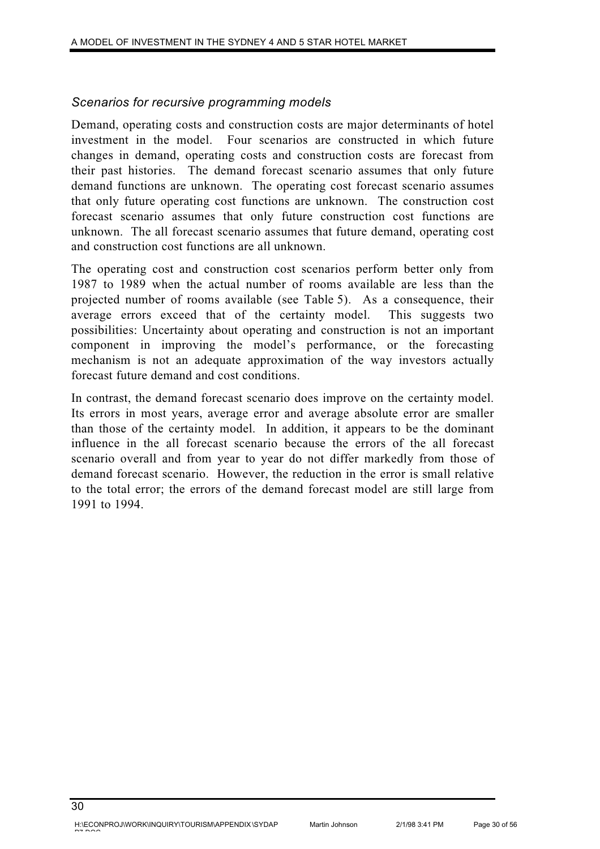### *Scenarios for recursive programming models*

Demand, operating costs and construction costs are major determinants of hotel investment in the model. Four scenarios are constructed in which future changes in demand, operating costs and construction costs are forecast from their past histories. The demand forecast scenario assumes that only future demand functions are unknown. The operating cost forecast scenario assumes that only future operating cost functions are unknown. The construction cost forecast scenario assumes that only future construction cost functions are unknown. The all forecast scenario assumes that future demand, operating cost and construction cost functions are all unknown.

The operating cost and construction cost scenarios perform better only from 1987 to 1989 when the actual number of rooms available are less than the projected number of rooms available (see Table 5). As a consequence, their average errors exceed that of the certainty model. This suggests two possibilities: Uncertainty about operating and construction is not an important component in improving the model's performance, or the forecasting mechanism is not an adequate approximation of the way investors actually forecast future demand and cost conditions.

In contrast, the demand forecast scenario does improve on the certainty model. Its errors in most years, average error and average absolute error are smaller than those of the certainty model. In addition, it appears to be the dominant influence in the all forecast scenario because the errors of the all forecast scenario overall and from year to year do not differ markedly from those of demand forecast scenario. However, the reduction in the error is small relative to the total error; the errors of the demand forecast model are still large from 1991 to 1994.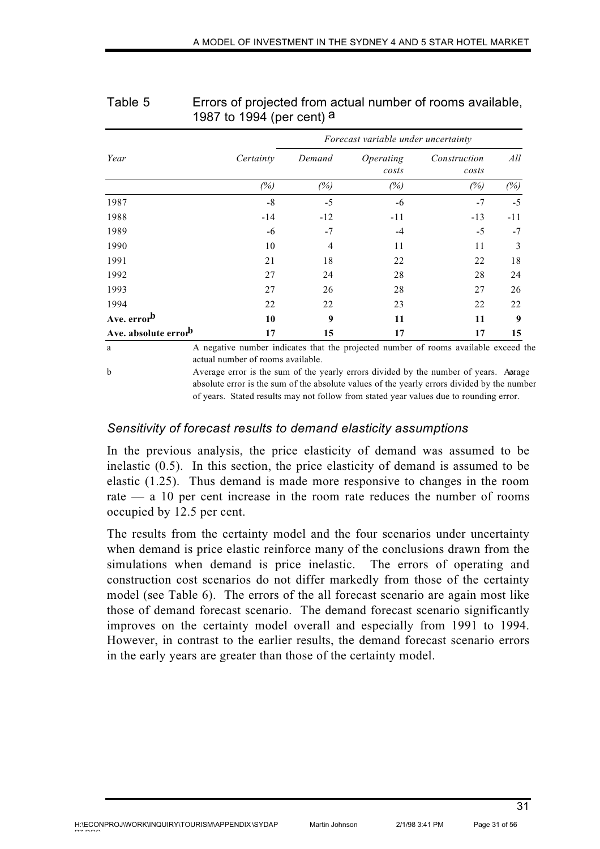|                                  |                                                                                     |        | Forecast variable under uncertainty |                       |       |  |
|----------------------------------|-------------------------------------------------------------------------------------|--------|-------------------------------------|-----------------------|-------|--|
| Year                             | Certainty                                                                           | Demand | Operating<br>costs                  | Construction<br>costs | All   |  |
|                                  | (%)                                                                                 | (%)    | (%)                                 | (%)                   | (%)   |  |
| 1987                             | $-8$                                                                                | $-5$   | -6                                  | $-7$                  | $-5$  |  |
| 1988                             | $-14$                                                                               | $-12$  | $-11$                               | $-13$                 | $-11$ |  |
| 1989                             | -6                                                                                  | $-7$   | -4                                  | $-5$                  | $-7$  |  |
| 1990                             | 10                                                                                  | 4      | 11                                  | 11                    | 3     |  |
| 1991                             | 21                                                                                  | 18     | 22                                  | 22                    | 18    |  |
| 1992                             | 27                                                                                  | 24     | 28                                  | 28                    | 24    |  |
| 1993                             | 27                                                                                  | 26     | 28                                  | 27                    | 26    |  |
| 1994                             | 22                                                                                  | 22     | 23                                  | 22                    | 22    |  |
| Ave. error <sup>b</sup>          | 10                                                                                  | 9      | 11                                  | 11                    | 9     |  |
| Ave. absolute error <sup>b</sup> | 17                                                                                  | 15     | 17                                  | 17                    | 15    |  |
| a                                | A negative number indicates that the projected number of rooms available exceed the |        |                                     |                       |       |  |

### Table 5 Errors of projected from actual number of rooms available, 1987 to 1994 (per cent) a

actual number of rooms available.

b Average error is the sum of the yearly errors divided by the number of years. Average absolute error is the sum of the absolute values of the yearly errors divided by the number of years. Stated results may not follow from stated year values due to rounding error.

### *Sensitivity of forecast results to demand elasticity assumptions*

In the previous analysis, the price elasticity of demand was assumed to be inelastic (0.5). In this section, the price elasticity of demand is assumed to be elastic (1.25). Thus demand is made more responsive to changes in the room rate — a 10 per cent increase in the room rate reduces the number of rooms occupied by 12.5 per cent.

The results from the certainty model and the four scenarios under uncertainty when demand is price elastic reinforce many of the conclusions drawn from the simulations when demand is price inelastic. The errors of operating and construction cost scenarios do not differ markedly from those of the certainty model (see Table 6). The errors of the all forecast scenario are again most like those of demand forecast scenario. The demand forecast scenario significantly improves on the certainty model overall and especially from 1991 to 1994. However, in contrast to the earlier results, the demand forecast scenario errors in the early years are greater than those of the certainty model.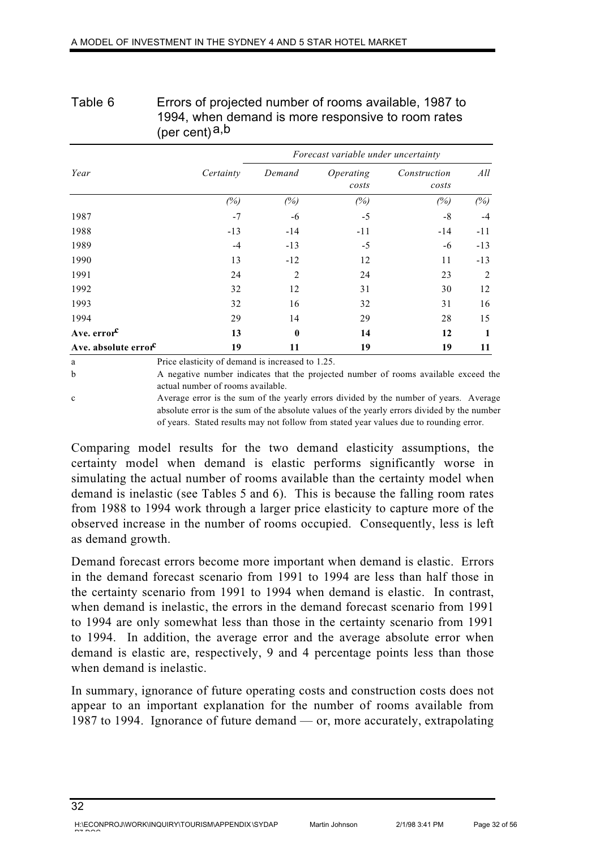|                                  | $(\text{per cell})^{\alpha, \omega}$             |                                     |                    |                       |       |  |
|----------------------------------|--------------------------------------------------|-------------------------------------|--------------------|-----------------------|-------|--|
|                                  |                                                  | Forecast variable under uncertainty |                    |                       |       |  |
| Year                             | Certainty                                        | Demand                              | Operating<br>costs | Construction<br>costs | All   |  |
|                                  | (%)                                              | (%)                                 | (%)                | (%)                   | (%)   |  |
| 1987                             | $-7$                                             | -6                                  | $-5$               | $-8$                  | $-4$  |  |
| 1988                             | $-13$                                            | $-14$                               | $-11$              | $-14$                 | $-11$ |  |
| 1989                             | $-4$                                             | $-13$                               | $-5$               | -6                    | $-13$ |  |
| 1990                             | 13                                               | $-12$                               | 12                 | 11                    | $-13$ |  |
| 1991                             | 24                                               | 2                                   | 24                 | 23                    | 2     |  |
| 1992                             | 32                                               | 12                                  | 31                 | 30                    | 12    |  |
| 1993                             | 32                                               | 16                                  | 32                 | 31                    | 16    |  |
| 1994                             | 29                                               | 14                                  | 29                 | 28                    | 15    |  |
| Ave. error <sup>c</sup>          | 13                                               | $\bf{0}$                            | 14                 | 12                    | 1     |  |
| Ave. absolute error <sup>c</sup> | 19                                               | 11                                  | 19                 | 19                    | 11    |  |
| a                                | Price elasticity of demand is increased to 1.25. |                                     |                    |                       |       |  |

### Table 6 Errors of projected number of rooms available, 1987 to 1994, when demand is more responsive to room rates  $(nar$  cent) $a,b$

b A negative number indicates that the projected number of rooms available exceed the actual number of rooms available.

c Average error is the sum of the yearly errors divided by the number of years. Average absolute error is the sum of the absolute values of the yearly errors divided by the number of years. Stated results may not follow from stated year values due to rounding error.

Comparing model results for the two demand elasticity assumptions, the certainty model when demand is elastic performs significantly worse in simulating the actual number of rooms available than the certainty model when demand is inelastic (see Tables 5 and 6). This is because the falling room rates from 1988 to 1994 work through a larger price elasticity to capture more of the observed increase in the number of rooms occupied. Consequently, less is left as demand growth.

Demand forecast errors become more important when demand is elastic. Errors in the demand forecast scenario from 1991 to 1994 are less than half those in the certainty scenario from 1991 to 1994 when demand is elastic. In contrast, when demand is inelastic, the errors in the demand forecast scenario from 1991 to 1994 are only somewhat less than those in the certainty scenario from 1991 to 1994. In addition, the average error and the average absolute error when demand is elastic are, respectively, 9 and 4 percentage points less than those when demand is inelastic.

In summary, ignorance of future operating costs and construction costs does not appear to an important explanation for the number of rooms available from 1987 to 1994. Ignorance of future demand — or, more accurately, extrapolating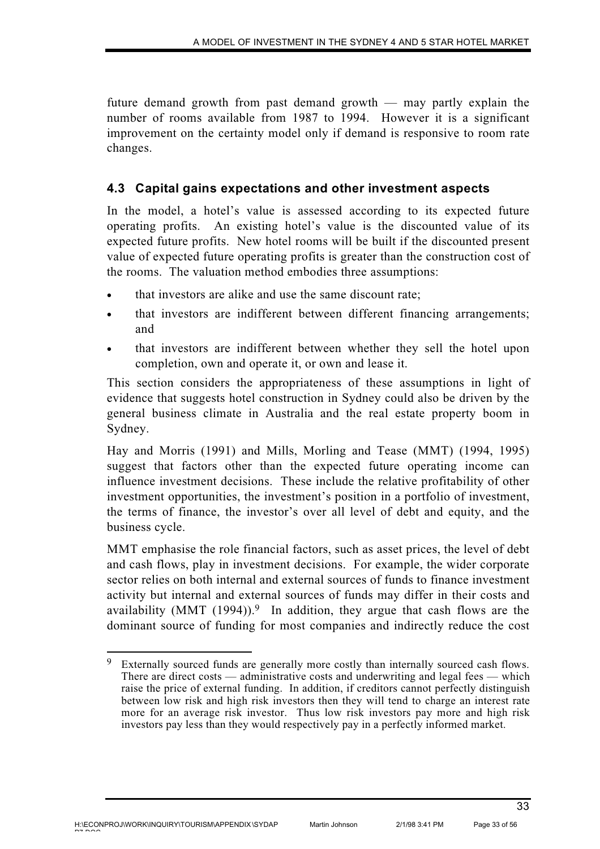future demand growth from past demand growth — may partly explain the number of rooms available from 1987 to 1994. However it is a significant improvement on the certainty model only if demand is responsive to room rate changes.

# **4.3 Capital gains expectations and other investment aspects**

In the model, a hotel's value is assessed according to its expected future operating profits. An existing hotel's value is the discounted value of its expected future profits. New hotel rooms will be built if the discounted present value of expected future operating profits is greater than the construction cost of the rooms. The valuation method embodies three assumptions:

- that investors are alike and use the same discount rate;
- that investors are indifferent between different financing arrangements; and
- that investors are indifferent between whether they sell the hotel upon completion, own and operate it, or own and lease it.

This section considers the appropriateness of these assumptions in light of evidence that suggests hotel construction in Sydney could also be driven by the general business climate in Australia and the real estate property boom in Sydney.

Hay and Morris (1991) and Mills, Morling and Tease (MMT) (1994, 1995) suggest that factors other than the expected future operating income can influence investment decisions. These include the relative profitability of other investment opportunities, the investment's position in a portfolio of investment, the terms of finance, the investor's over all level of debt and equity, and the business cycle.

MMT emphasise the role financial factors, such as asset prices, the level of debt and cash flows, play in investment decisions. For example, the wider corporate sector relies on both internal and external sources of funds to finance investment activity but internal and external sources of funds may differ in their costs and availability (MMT  $(1994)$ ).<sup>9</sup> In addition, they argue that cash flows are the dominant source of funding for most companies and indirectly reduce the cost

<sup>9</sup> Externally sourced funds are generally more costly than internally sourced cash flows. There are direct costs — administrative costs and underwriting and legal fees — which raise the price of external funding. In addition, if creditors cannot perfectly distinguish between low risk and high risk investors then they will tend to charge an interest rate more for an average risk investor. Thus low risk investors pay more and high risk investors pay less than they would respectively pay in a perfectly informed market.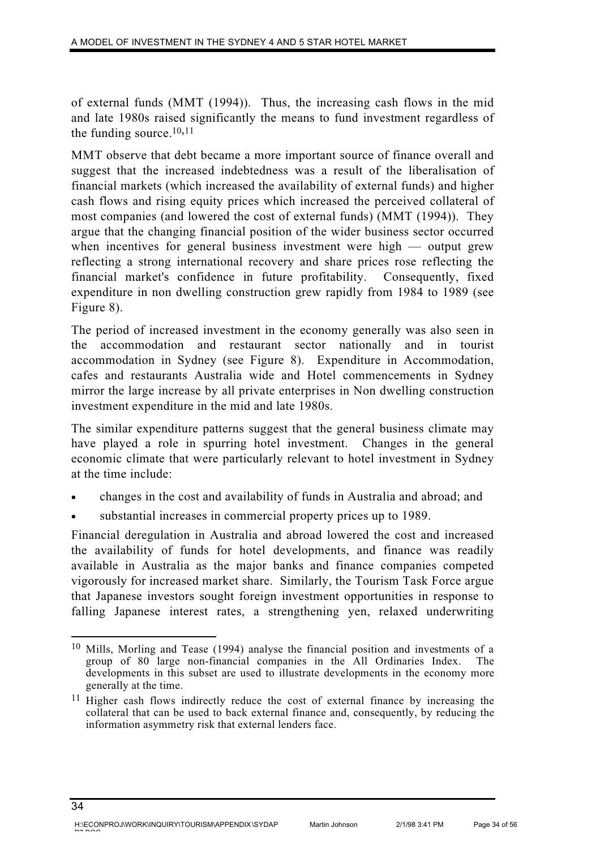of external funds (MMT (1994)). Thus, the increasing cash flows in the mid and late 1980s raised significantly the means to fund investment regardless of the funding source.10,11

MMT observe that debt became a more important source of finance overall and suggest that the increased indebtedness was a result of the liberalisation of financial markets (which increased the availability of external funds) and higher cash flows and rising equity prices which increased the perceived collateral of most companies (and lowered the cost of external funds) (MMT (1994)). They argue that the changing financial position of the wider business sector occurred when incentives for general business investment were high — output grew reflecting a strong international recovery and share prices rose reflecting the financial market's confidence in future profitability. Consequently, fixed expenditure in non dwelling construction grew rapidly from 1984 to 1989 (see Figure 8).

The period of increased investment in the economy generally was also seen in the accommodation and restaurant sector nationally and in tourist accommodation in Sydney (see Figure 8). Expenditure in Accommodation, cafes and restaurants Australia wide and Hotel commencements in Sydney mirror the large increase by all private enterprises in Non dwelling construction investment expenditure in the mid and late 1980s.

The similar expenditure patterns suggest that the general business climate may have played a role in spurring hotel investment. Changes in the general economic climate that were particularly relevant to hotel investment in Sydney at the time include:

- changes in the cost and availability of funds in Australia and abroad; and
- substantial increases in commercial property prices up to 1989.

Financial deregulation in Australia and abroad lowered the cost and increased the availability of funds for hotel developments, and finance was readily available in Australia as the major banks and finance companies competed vigorously for increased market share. Similarly, the Tourism Task Force argue that Japanese investors sought foreign investment opportunities in response to falling Japanese interest rates, a strengthening yen, relaxed underwriting

<sup>10</sup> Mills, Morling and Tease (1994) analyse the financial position and investments of a group of 80 large non-financial companies in the All Ordinaries Index. The developments in this subset are used to illustrate developments in the economy more generally at the time.

<sup>11</sup> Higher cash flows indirectly reduce the cost of external finance by increasing the collateral that can be used to back external finance and, consequently, by reducing the information asymmetry risk that external lenders face.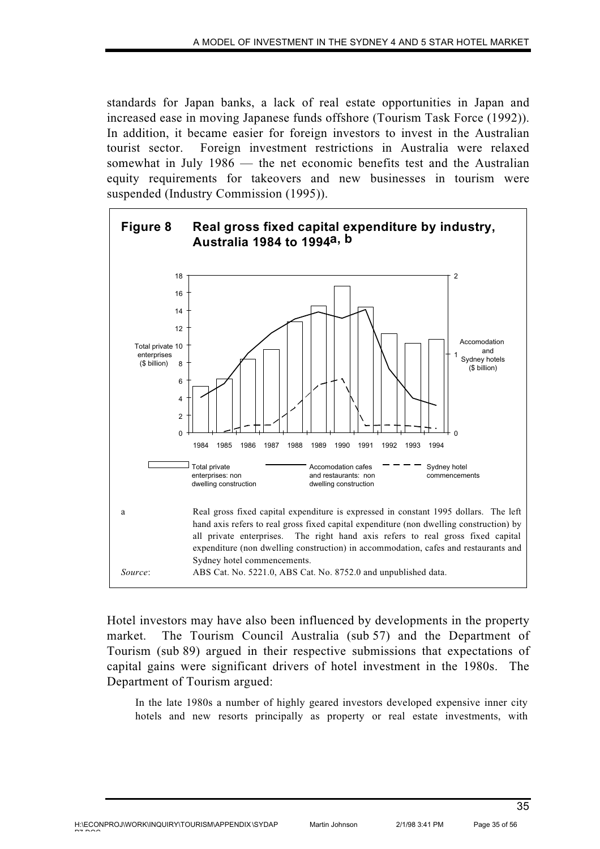standards for Japan banks, a lack of real estate opportunities in Japan and increased ease in moving Japanese funds offshore (Tourism Task Force (1992)). In addition, it became easier for foreign investors to invest in the Australian tourist sector. Foreign investment restrictions in Australia were relaxed somewhat in July 1986 — the net economic benefits test and the Australian equity requirements for takeovers and new businesses in tourism were suspended (Industry Commission (1995)).



Hotel investors may have also been influenced by developments in the property market. The Tourism Council Australia (sub 57) and the Department of Tourism (sub 89) argued in their respective submissions that expectations of capital gains were significant drivers of hotel investment in the 1980s. The Department of Tourism argued:

In the late 1980s a number of highly geared investors developed expensive inner city hotels and new resorts principally as property or real estate investments, with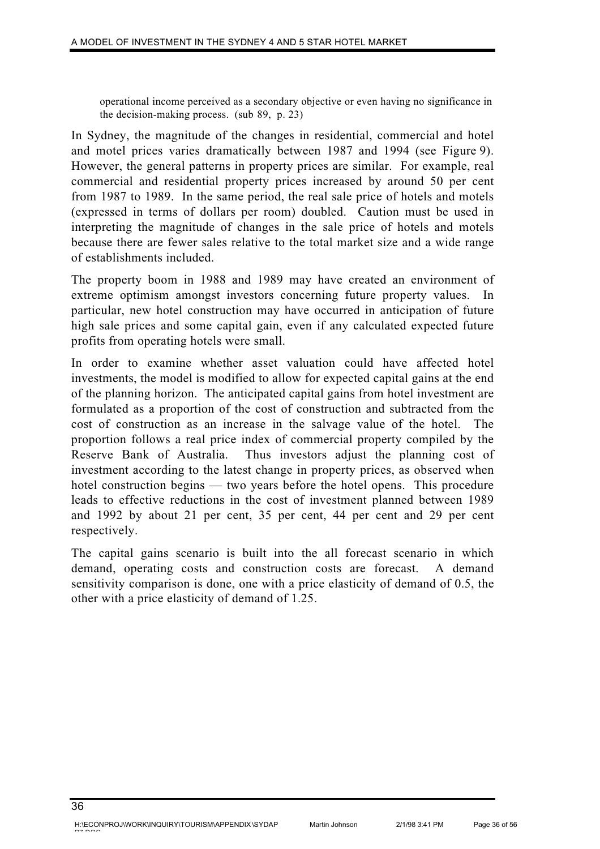operational income perceived as a secondary objective or even having no significance in the decision-making process. (sub 89, p. 23)

In Sydney, the magnitude of the changes in residential, commercial and hotel and motel prices varies dramatically between 1987 and 1994 (see Figure 9). However, the general patterns in property prices are similar. For example, real commercial and residential property prices increased by around 50 per cent from 1987 to 1989. In the same period, the real sale price of hotels and motels (expressed in terms of dollars per room) doubled. Caution must be used in interpreting the magnitude of changes in the sale price of hotels and motels because there are fewer sales relative to the total market size and a wide range of establishments included.

The property boom in 1988 and 1989 may have created an environment of extreme optimism amongst investors concerning future property values. In particular, new hotel construction may have occurred in anticipation of future high sale prices and some capital gain, even if any calculated expected future profits from operating hotels were small.

In order to examine whether asset valuation could have affected hotel investments, the model is modified to allow for expected capital gains at the end of the planning horizon. The anticipated capital gains from hotel investment are formulated as a proportion of the cost of construction and subtracted from the cost of construction as an increase in the salvage value of the hotel. The proportion follows a real price index of commercial property compiled by the Reserve Bank of Australia. Thus investors adjust the planning cost of investment according to the latest change in property prices, as observed when hotel construction begins — two years before the hotel opens. This procedure leads to effective reductions in the cost of investment planned between 1989 and 1992 by about 21 per cent, 35 per cent, 44 per cent and 29 per cent respectively.

The capital gains scenario is built into the all forecast scenario in which demand, operating costs and construction costs are forecast. A demand sensitivity comparison is done, one with a price elasticity of demand of 0.5, the other with a price elasticity of demand of 1.25.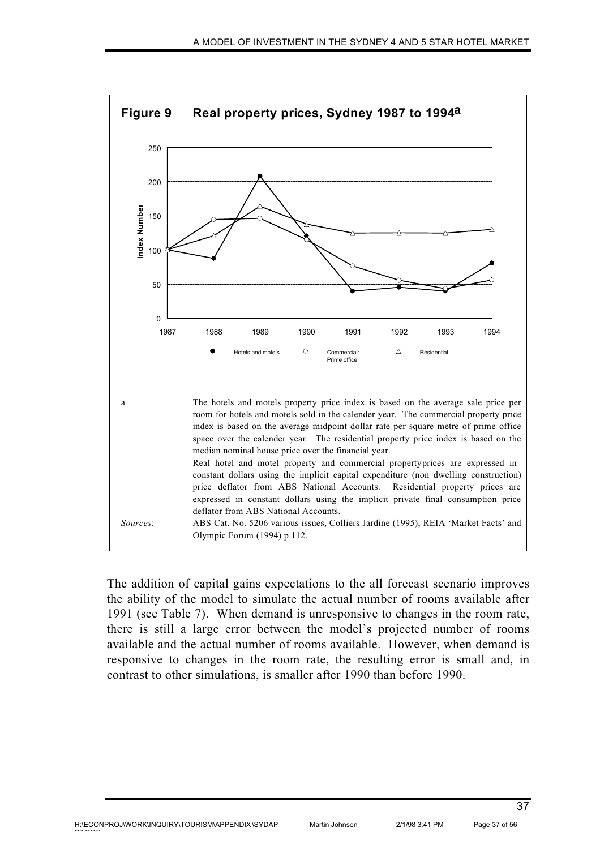

The addition of capital gains expectations to the all forecast scenario improves the ability of the model to simulate the actual number of rooms available after 1991 (see Table 7). When demand is unresponsive to changes in the room rate, there is still a large error between the model's projected number of rooms available and the actual number of rooms available. However, when demand is responsive to changes in the room rate, the resulting error is small and, in contrast to other simulations, is smaller after 1990 than before 1990.

pp pp o o

Martin Johnson 2/1/98 3:41 PM Page 37 of 56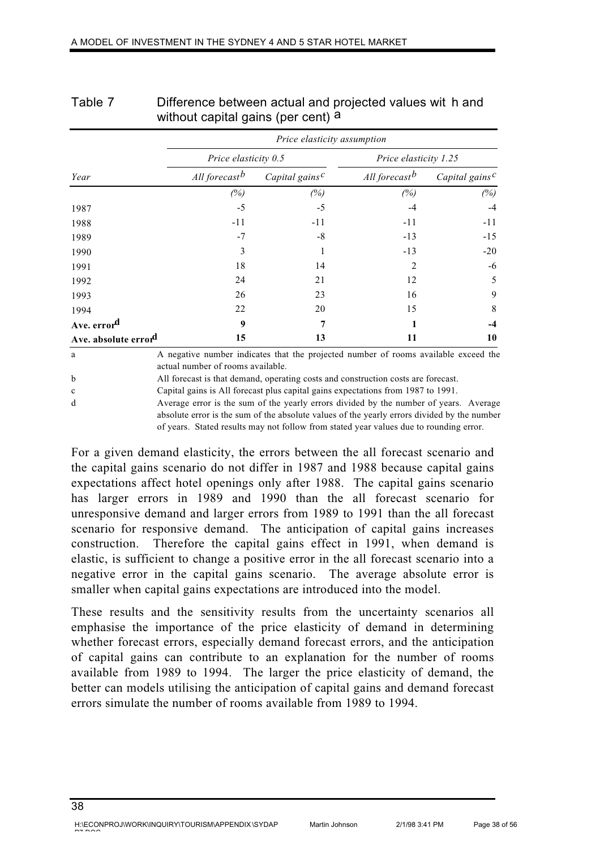|                      | Price elasticity assumption |                                         |                           |                                         |  |
|----------------------|-----------------------------|-----------------------------------------|---------------------------|-----------------------------------------|--|
|                      | Price elasticity 0.5        |                                         | Price elasticity 1.25     |                                         |  |
| Year                 | All forecast <sup>b</sup>   | Capital gains <sup><math>c</math></sup> | All forecast <sup>b</sup> | Capital gains <sup><math>c</math></sup> |  |
|                      | (%)                         | (%)                                     | (%)                       | (%)                                     |  |
| 1987                 | -5                          | $-5$                                    | -4                        | $-4$                                    |  |
| 1988                 | $-11$                       | $-11$                                   | $-11$                     | $-11$                                   |  |
| 1989                 | $-7$                        | $-8$                                    | $-13$                     | $-15$                                   |  |
| 1990                 | 3                           |                                         | $-13$                     | $-20$                                   |  |
| 1991                 | 18                          | 14                                      | 2                         | -6                                      |  |
| 1992                 | 24                          | 21                                      | 12                        | 5                                       |  |
| 1993                 | 26                          | 23                                      | 16                        | 9                                       |  |
| 1994                 | 22                          | 20                                      | 15                        | 8                                       |  |
| Ave. errord          | 9                           | 7                                       |                           | $-4$                                    |  |
| Ave. absolute errord | 15                          | 13                                      | 11                        | 10                                      |  |

| Table 7 | Difference between actual and projected values wit h and |
|---------|----------------------------------------------------------|
|         | without capital gains (per cent) a                       |

a A negative number indicates that the projected number of rooms available exceed the actual number of rooms available.

b All forecast is that demand, operating costs and construction costs are forecast.

c Capital gains is All forecast plus capital gains expectations from 1987 to 1991.

d Average error is the sum of the yearly errors divided by the number of years. Average absolute error is the sum of the absolute values of the yearly errors divided by the number of years. Stated results may not follow from stated year values due to rounding error.

For a given demand elasticity, the errors between the all forecast scenario and the capital gains scenario do not differ in 1987 and 1988 because capital gains expectations affect hotel openings only after 1988. The capital gains scenario has larger errors in 1989 and 1990 than the all forecast scenario for unresponsive demand and larger errors from 1989 to 1991 than the all forecast scenario for responsive demand. The anticipation of capital gains increases construction. Therefore the capital gains effect in 1991, when demand is elastic, is sufficient to change a positive error in the all forecast scenario into a negative error in the capital gains scenario. The average absolute error is smaller when capital gains expectations are introduced into the model.

These results and the sensitivity results from the uncertainty scenarios all emphasise the importance of the price elasticity of demand in determining whether forecast errors, especially demand forecast errors, and the anticipation of capital gains can contribute to an explanation for the number of rooms available from 1989 to 1994. The larger the price elasticity of demand, the better can models utilising the anticipation of capital gains and demand forecast errors simulate the number of rooms available from 1989 to 1994.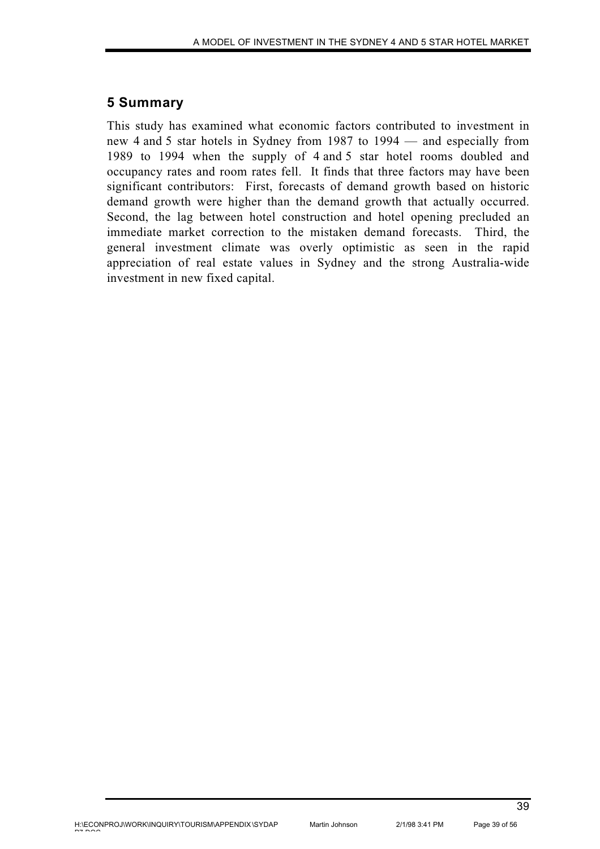# **5 Summary**

This study has examined what economic factors contributed to investment in new 4 and 5 star hotels in Sydney from 1987 to 1994 — and especially from 1989 to 1994 when the supply of 4 and 5 star hotel rooms doubled and occupancy rates and room rates fell. It finds that three factors may have been significant contributors: First, forecasts of demand growth based on historic demand growth were higher than the demand growth that actually occurred. Second, the lag between hotel construction and hotel opening precluded an immediate market correction to the mistaken demand forecasts. Third, the general investment climate was overly optimistic as seen in the rapid appreciation of real estate values in Sydney and the strong Australia-wide investment in new fixed capital.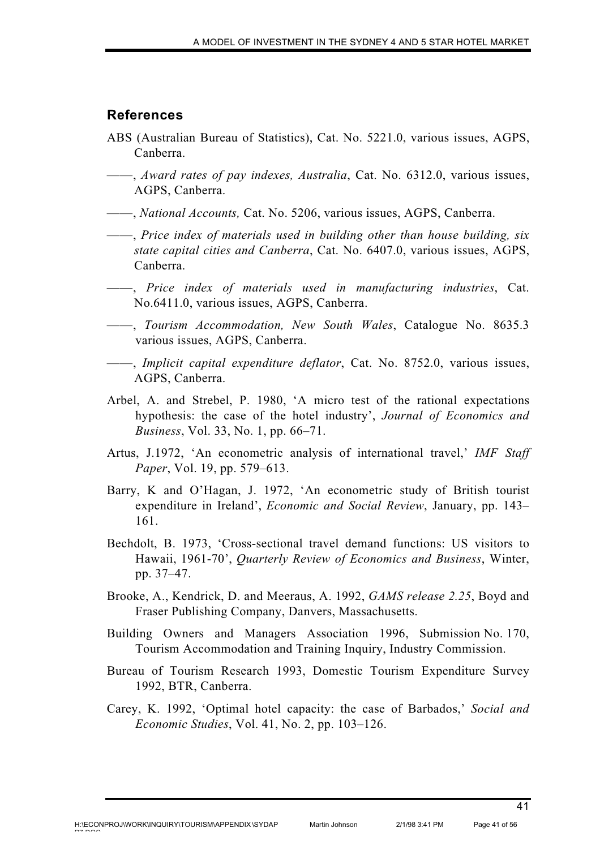#### **References**

- ABS (Australian Bureau of Statistics), Cat. No. 5221.0, various issues, AGPS, Canberra.
- ——, *Award rates of pay indexes, Australia*, Cat. No. 6312.0, various issues, AGPS, Canberra.
- ——, *National Accounts,* Cat. No. 5206, various issues, AGPS, Canberra.
- ——, *Price index of materials used in building other than house building, six state capital cities and Canberra*, Cat. No. 6407.0, various issues, AGPS, Canberra.
- ——, *Price index of materials used in manufacturing industries*, Cat. No.6411.0, various issues, AGPS, Canberra.
- ——, *Tourism Accommodation, New South Wales*, Catalogue No. 8635.3 various issues, AGPS, Canberra.
- ——, *Implicit capital expenditure deflator*, Cat. No. 8752.0, various issues, AGPS, Canberra.
- Arbel, A. and Strebel, P. 1980, 'A micro test of the rational expectations hypothesis: the case of the hotel industry', *Journal of Economics and Business*, Vol. 33, No. 1, pp. 66–71.
- Artus, J.1972, 'An econometric analysis of international travel,' *IMF Staff Paper*, Vol. 19, pp. 579–613.
- Barry, K and O'Hagan, J. 1972, 'An econometric study of British tourist expenditure in Ireland', *Economic and Social Review*, January, pp. 143– 161.
- Bechdolt, B. 1973, 'Cross-sectional travel demand functions: US visitors to Hawaii, 1961-70', *Quarterly Review of Economics and Business*, Winter, pp. 37–47.
- Brooke, A., Kendrick, D. and Meeraus, A. 1992, *GAMS release 2.25*, Boyd and Fraser Publishing Company, Danvers, Massachusetts.
- Building Owners and Managers Association 1996, Submission No. 170, Tourism Accommodation and Training Inquiry, Industry Commission.
- Bureau of Tourism Research 1993, Domestic Tourism Expenditure Survey 1992, BTR, Canberra.
- Carey, K. 1992, 'Optimal hotel capacity: the case of Barbados,' *Social and Economic Studies*, Vol. 41, No. 2, pp. 103–126.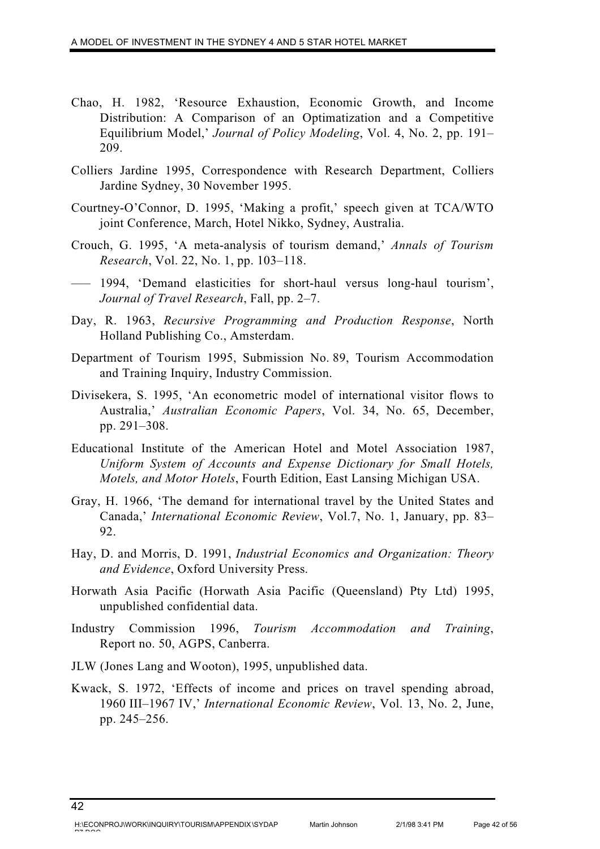- Chao, H. 1982, 'Resource Exhaustion, Economic Growth, and Income Distribution: A Comparison of an Optimatization and a Competitive Equilibrium Model,' *Journal of Policy Modeling*, Vol. 4, No. 2, pp. 191– 209.
- Colliers Jardine 1995, Correspondence with Research Department, Colliers Jardine Sydney, 30 November 1995.
- Courtney-O'Connor, D. 1995, 'Making a profit,' speech given at TCA/WTO joint Conference, March, Hotel Nikko, Sydney, Australia.
- Crouch, G. 1995, 'A meta-analysis of tourism demand,' *Annals of Tourism Research*, Vol. 22, No. 1, pp. 103–118.
- ––– 1994, 'Demand elasticities for short-haul versus long-haul tourism', *Journal of Travel Research*, Fall, pp. 2–7.
- Day, R. 1963, *Recursive Programming and Production Response*, North Holland Publishing Co., Amsterdam.
- Department of Tourism 1995, Submission No. 89, Tourism Accommodation and Training Inquiry, Industry Commission.
- Divisekera, S. 1995, 'An econometric model of international visitor flows to Australia,' *Australian Economic Papers*, Vol. 34, No. 65, December, pp. 291–308.
- Educational Institute of the American Hotel and Motel Association 1987, *Uniform System of Accounts and Expense Dictionary for Small Hotels, Motels, and Motor Hotels*, Fourth Edition, East Lansing Michigan USA.
- Gray, H. 1966, 'The demand for international travel by the United States and Canada,' *International Economic Review*, Vol.7, No. 1, January, pp. 83– 92.
- Hay, D. and Morris, D. 1991, *Industrial Economics and Organization: Theory and Evidence*, Oxford University Press.
- Horwath Asia Pacific (Horwath Asia Pacific (Queensland) Pty Ltd) 1995, unpublished confidential data.
- Industry Commission 1996, *Tourism Accommodation and Training*, Report no. 50, AGPS, Canberra.
- JLW (Jones Lang and Wooton), 1995, unpublished data.
- Kwack, S. 1972, 'Effects of income and prices on travel spending abroad, 1960 III–1967 IV,' *International Economic Review*, Vol. 13, No. 2, June, pp. 245–256.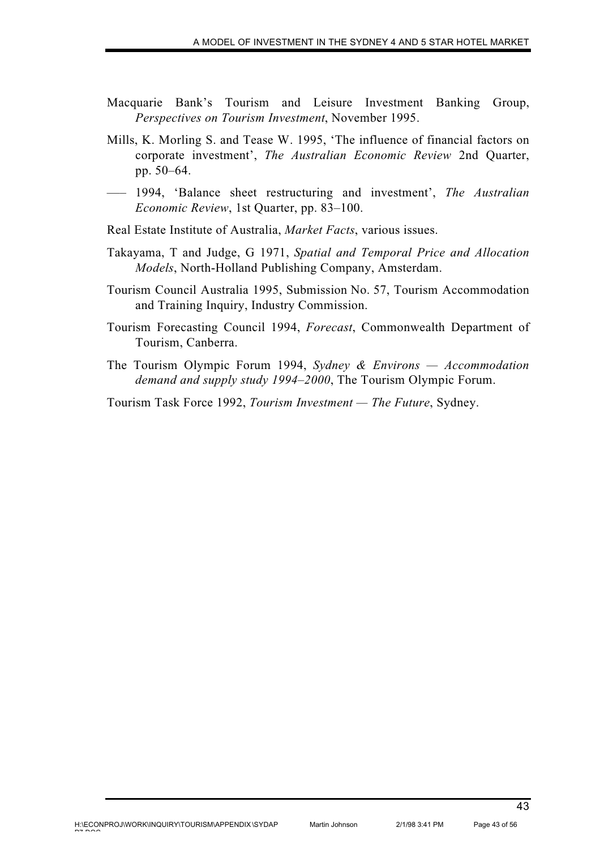- Macquarie Bank's Tourism and Leisure Investment Banking Group, *Perspectives on Tourism Investment*, November 1995.
- Mills, K. Morling S. and Tease W. 1995, 'The influence of financial factors on corporate investment', *The Australian Economic Review* 2nd Quarter, pp. 50–64.
- ––– 1994, 'Balance sheet restructuring and investment', *The Australian Economic Review*, 1st Quarter, pp. 83–100.
- Real Estate Institute of Australia, *Market Facts*, various issues.
- Takayama, T and Judge, G 1971, *Spatial and Temporal Price and Allocation Models*, North-Holland Publishing Company, Amsterdam.
- Tourism Council Australia 1995, Submission No. 57, Tourism Accommodation and Training Inquiry, Industry Commission.
- Tourism Forecasting Council 1994, *Forecast*, Commonwealth Department of Tourism, Canberra.
- The Tourism Olympic Forum 1994, *Sydney & Environs Accommodation demand and supply study 1994–2000*, The Tourism Olympic Forum.
- Tourism Task Force 1992, *Tourism Investment The Future*, Sydney.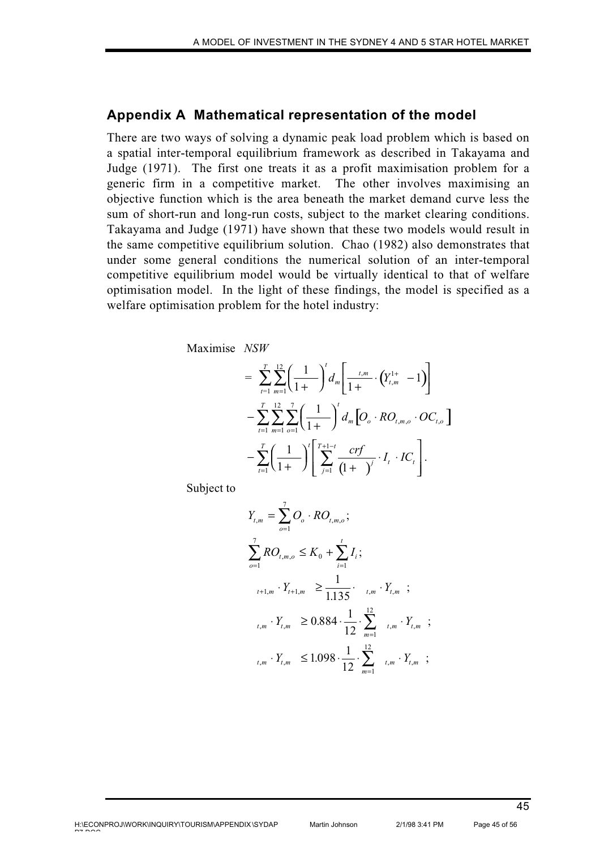### **Appendix A Mathematical representation of the model**

There are two ways of solving a dynamic peak load problem which is based on a spatial inter-temporal equilibrium framework as described in Takayama and Judge (1971). The first one treats it as a profit maximisation problem for a generic firm in a competitive market. The other involves maximising an objective function which is the area beneath the market demand curve less the sum of short-run and long-run costs, subject to the market clearing conditions. Takayama and Judge (1971) have shown that these two models would result in the same competitive equilibrium solution. Chao (1982) also demonstrates that under some general conditions the numerical solution of an inter-temporal competitive equilibrium model would be virtually identical to that of welfare optimisation model. In the light of these findings, the model is specified as a welfare optimisation problem for the hotel industry:

Maximise *NSW*

$$
= \sum_{t=1}^{T} \sum_{m=1}^{12} \left( \frac{1}{1+} \right)^{t} d_{m} \left[ \frac{t,m}{1+} \cdot \left( Y_{t,m}^{1+} - 1 \right) \right] - \sum_{t=1}^{T} \sum_{m=1}^{12} \sum_{o=1}^{7} \left( \frac{1}{1+} \right)^{t} d_{m} \left[ O_{o} \cdot RO_{t,m,o} \cdot OC_{t,o} \right] - \sum_{t=1}^{T} \left( \frac{1}{1+} \right)^{t} \left[ \sum_{j=1}^{T+1-t} \frac{crf}{(1+)} \cdot I_{t} \cdot IC_{t} \right].
$$

Subject to

$$
Y_{t,m} = \sum_{o=1}^{7} O_o \cdot RO_{t,m,o};
$$
  
\n
$$
\sum_{o=1}^{7} RO_{t,m,o} \leq K_0 + \sum_{i=1}^{t} I_i;
$$
  
\n
$$
Y_{t+1,m} \cdot Y_{t+1,m} \geq \frac{1}{1.135} \cdot t_m \cdot Y_{t,m};
$$
  
\n
$$
Y_{t,m} \cdot Y_{t,m} \geq 0.884 \cdot \frac{1}{12} \cdot \sum_{m=1}^{12} t_m \cdot Y_{t,m};
$$
  
\n
$$
Y_{t,m} \leq 1.098 \cdot \frac{1}{12} \cdot \sum_{m=1}^{12} t_m \cdot Y_{t,m};
$$

45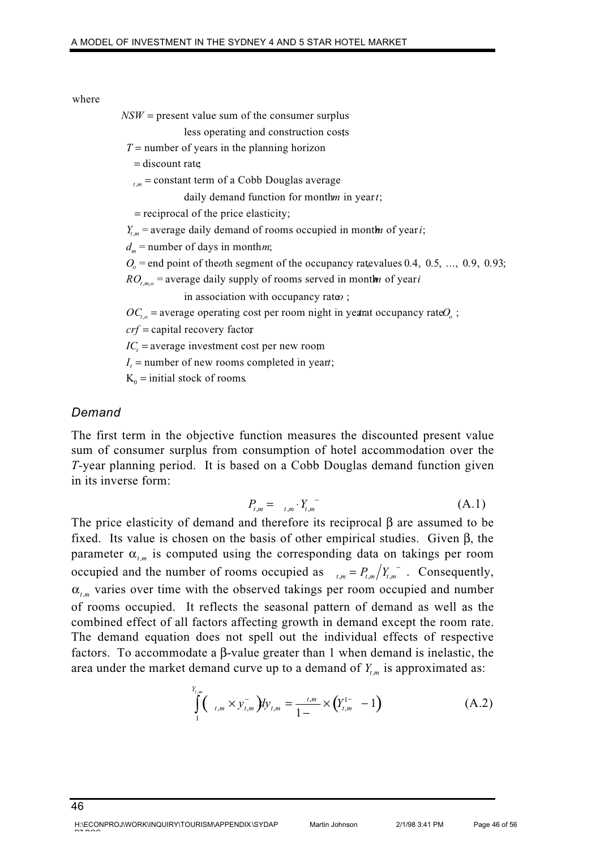#### where

 $NSW$  = present value sum of the consumer surplus

less operating and construction costs;

 $T =$  number of years in the planning horizon

= discount rate

 $_{m}$  = constant term of a Cobb Douglas average

daily demand function for monthm in yeart;

= reciprocal of the price elasticity;

 $Y_{t,m}$  = average daily demand of rooms occupied in month of year *i*;

 $d_m$  = number of days in monthm;

 $O<sub>o</sub>$  = end point of the oth segment of the occupancy rate values 0.4, 0.5, ..., 0.9, 0.93;

 $RO_{t,m,o}$  = average daily supply of rooms served in mont**h** of year *i* in association with occupancy rates ;

in association with occupancy rateo;

 $\sum_{t,o}$  = average operating cost per room night in year at occupancy rate  $O_o$ ; *t<sub>im</sub>* = constant term of a Cooo Douglas average<br>daily demand function for monthm in year t;<br>= reciprocal of the price elasticity;<br> $Y_{t,m}$  = average daily demand of rooms occupied in monthm of year t;<br> $d_m$  = number of da

crf = capital recovery factor

 $IC_t$  = average investment cost per new room

*IC*<sub>*t*</sub> = average investment cost per new room<br>*I*<sub>*t*</sub> = number of new rooms completed in year*t*;

 $K_0$  = initial stock of rooms.

### *Demand*

The first term in the objective function measures the discounted present value sum of consumer surplus from consumption of hotel accommodation over the *T-*year planning period. It is based on a Cobb Douglas demand function given in its inverse form:

$$
P_{t,m} = \left[ \begin{array}{cc} \n \ddots & \ddots \\
\ddots & \ddots & \ddots \\
\ddots & \ddots & \ddots\n \end{array} \right] \tag{A.1}
$$

The price elasticity of demand and therefore its reciprocal β are assumed to be fixed. Its value is chosen on the basis of other empirical studies. Given β, the parameter  $\alpha_{t_m}$  is computed using the corresponding data on takings per room occupied and the number of rooms occupied as  $t_{tm} = P_{t,m}/Y_{t,m}$ . Consequently,  $\alpha_{t_m}$  varies over time with the observed takings per room occupied and number of rooms occupied. It reflects the seasonal pattern of demand as well as the combined effect of all factors affecting growth in demand except the room rate. The demand equation does not spell out the individual effects of respective factors. To accommodate a β-value greater than 1 when demand is inelastic, the area under the market demand curve up to a demand of  $Y_{t_m}$  is approximated as:

$$
\int_{1}^{Y_{t,m}} (t_{t,m} \times y_{t,m}^{-}) dy_{t,m} = \frac{t_{t,m}}{1 -} \times (Y_{t,m}^{1-} - 1)
$$
 (A.2)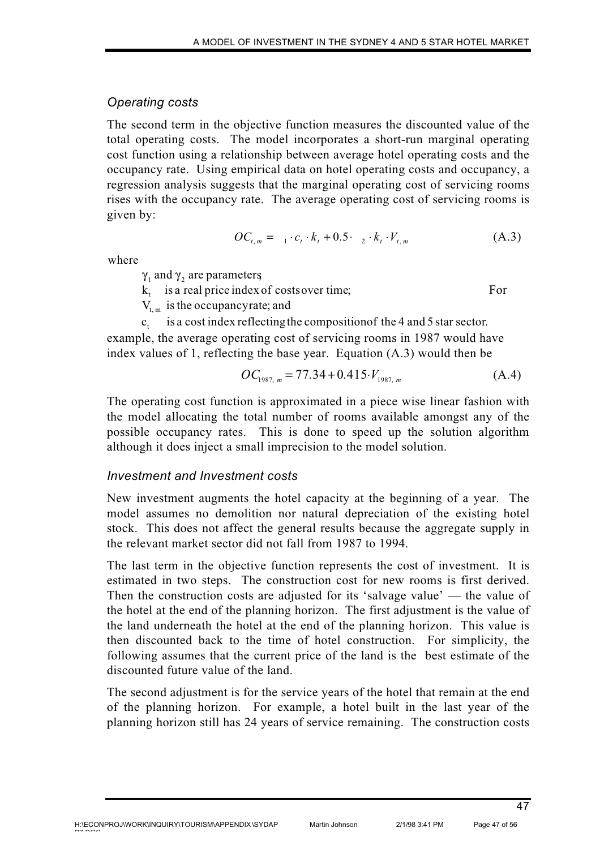### *Operating costs*

The second term in the objective function measures the discounted value of the total operating costs. The model incorporates a short-run marginal operating cost function using a relationship between average hotel operating costs and the occupancy rate. Using empirical data on hotel operating costs and occupancy, a regression analysis suggests that the marginal operating cost of servicing rooms rises with the occupancy rate. The average operating cost of servicing rooms is given by:

$$
OC_{t,m} = {}_{-1} \cdot c_t \cdot k_t + 0.5 \cdot {}_{-2} \cdot k_t \cdot V_{t,m} \tag{A.3}
$$

where

 $\gamma_1$  and  $\gamma_2$  are parameters

 $k_t$  is a real price index of costsover time;

For

 $V_{t,m}$  is the occupancyrate; and

is a cost index reflectingthe compositionof the 4 and 5 star sector.  $c_{t}$ example, the average operating cost of servicing rooms in 1987 would have index values of 1, reflecting the base year. Equation (A.3) would then be

$$
OC_{1987, m} = 77.34 + 0.415 \cdot V_{1987, m} \tag{A.4}
$$

The operating cost function is approximated in a piece wise linear fashion with the model allocating the total number of rooms available amongst any of the possible occupancy rates. This is done to speed up the solution algorithm although it does inject a small imprecision to the model solution.

### *Investment and Investment costs*

New investment augments the hotel capacity at the beginning of a year. The model assumes no demolition nor natural depreciation of the existing hotel stock. This does not affect the general results because the aggregate supply in the relevant market sector did not fall from 1987 to 1994.

The last term in the objective function represents the cost of investment. It is estimated in two steps. The construction cost for new rooms is first derived. Then the construction costs are adjusted for its 'salvage value' — the value of the hotel at the end of the planning horizon. The first adjustment is the value of the land underneath the hotel at the end of the planning horizon. This value is then discounted back to the time of hotel construction. For simplicity, the following assumes that the current price of the land is the best estimate of the discounted future value of the land.

The second adjustment is for the service years of the hotel that remain at the end of the planning horizon. For example, a hotel built in the last year of the planning horizon still has 24 years of service remaining. The construction costs

pp pp o o

47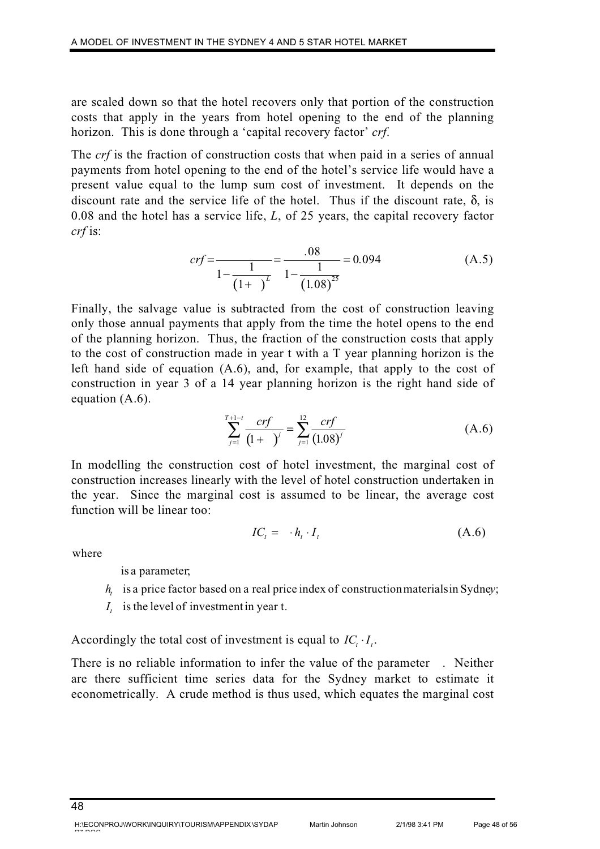are scaled down so that the hotel recovers only that portion of the construction costs that apply in the years from hotel opening to the end of the planning horizon. This is done through a 'capital recovery factor' *crf*.

The *crf* is the fraction of construction costs that when paid in a series of annual payments from hotel opening to the end of the hotel's service life would have a present value equal to the lump sum cost of investment. It depends on the discount rate and the service life of the hotel. Thus if the discount rate,  $\delta$ , is 0.08 and the hotel has a service life, *L*, of 25 years, the capital recovery factor *crf* is:

$$
crf = \frac{1}{1 - \frac{1}{(1 + \t{array})^L} = \frac{.08}{1 - \frac{1}{(1.08)^{25}}} = 0.094
$$
 (A.5)

Finally, the salvage value is subtracted from the cost of construction leaving only those annual payments that apply from the time the hotel opens to the end of the planning horizon. Thus, the fraction of the construction costs that apply to the cost of construction made in year t with a T year planning horizon is the left hand side of equation (A.6), and, for example, that apply to the cost of construction in year 3 of a 14 year planning horizon is the right hand side of equation (A.6).

$$
\sum_{j=1}^{T+1-t} \frac{crf}{(1+)} = \sum_{j=1}^{12} \frac{crf}{(1.08)^j}
$$
 (A.6)

In modelling the construction cost of hotel investment, the marginal cost of construction increases linearly with the level of hotel construction undertaken in the year. Since the marginal cost is assumed to be linear, the average cost function will be linear too:

$$
IC_t = \cdot h_t \cdot I_t \tag{A.6}
$$

where

is a parameter;

- $h_{t}$  is a price factor based on a real price index of construction materials in Sydney;
- $I_t$  is the level of investment in year t.

Accordingly the total cost of investment is equal to  $IC_i \cdot I_i$ .

There is no reliable information to infer the value of the parameter . Neither are there sufficient time series data for the Sydney market to estimate it econometrically. A crude method is thus used, which equates the marginal cost

Martin Johnson 2/1/98 3:41 PM Page 48 of 56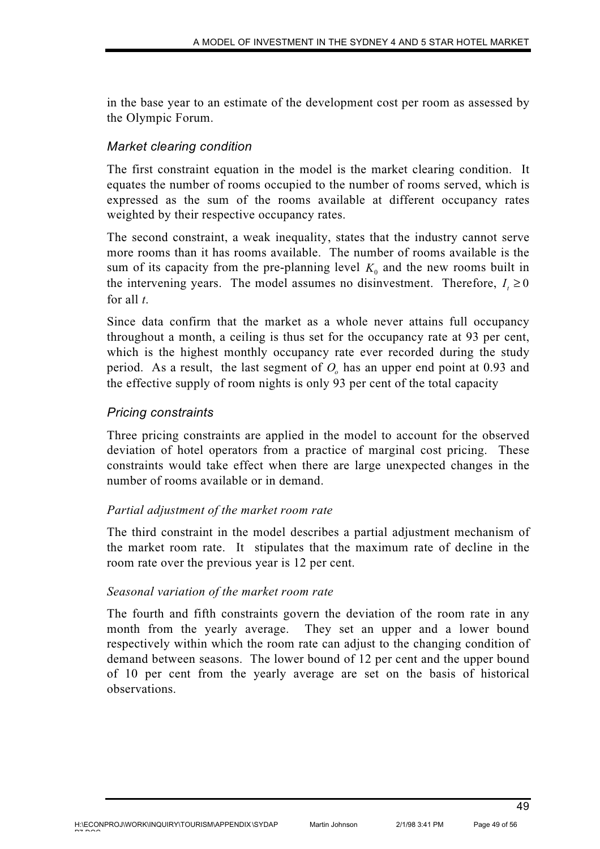in the base year to an estimate of the development cost per room as assessed by the Olympic Forum.

# *Market clearing condition*

The first constraint equation in the model is the market clearing condition. It equates the number of rooms occupied to the number of rooms served, which is expressed as the sum of the rooms available at different occupancy rates weighted by their respective occupancy rates.

The second constraint, a weak inequality, states that the industry cannot serve more rooms than it has rooms available. The number of rooms available is the sum of its capacity from the pre-planning level  $K_0$  and the new rooms built in the intervening years. The model assumes no disinvestment. Therefore,  $I \ge 0$ for all *t*.

Since data confirm that the market as a whole never attains full occupancy throughout a month, a ceiling is thus set for the occupancy rate at 93 per cent, which is the highest monthly occupancy rate ever recorded during the study period. As a result, the last segment of  $O<sub>o</sub>$  has an upper end point at 0.93 and the effective supply of room nights is only 93 per cent of the total capacity

# *Pricing constraints*

Three pricing constraints are applied in the model to account for the observed deviation of hotel operators from a practice of marginal cost pricing. These constraints would take effect when there are large unexpected changes in the number of rooms available or in demand.

# *Partial adjustment of the market room rate*

The third constraint in the model describes a partial adjustment mechanism of the market room rate. It stipulates that the maximum rate of decline in the room rate over the previous year is 12 per cent.

### *Seasonal variation of the market room rate*

The fourth and fifth constraints govern the deviation of the room rate in any month from the yearly average. They set an upper and a lower bound respectively within which the room rate can adjust to the changing condition of demand between seasons. The lower bound of 12 per cent and the upper bound of 10 per cent from the yearly average are set on the basis of historical observations.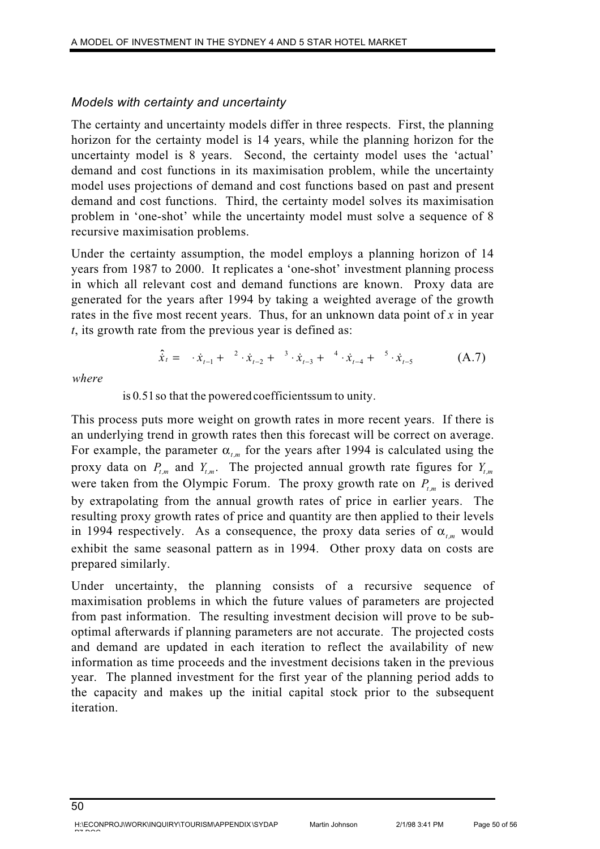# *Models with certainty and uncertainty*

The certainty and uncertainty models differ in three respects. First, the planning horizon for the certainty model is 14 years, while the planning horizon for the uncertainty model is 8 years. Second, the certainty model uses the 'actual' demand and cost functions in its maximisation problem, while the uncertainty model uses projections of demand and cost functions based on past and present demand and cost functions. Third, the certainty model solves its maximisation problem in 'one-shot' while the uncertainty model must solve a sequence of 8 recursive maximisation problems.

Under the certainty assumption, the model employs a planning horizon of 14 years from 1987 to 2000. It replicates a 'one-shot' investment planning process in which all relevant cost and demand functions are known. Proxy data are generated for the years after 1994 by taking a weighted average of the growth rates in the five most recent years. Thus, for an unknown data point of *x* in year *t*, its growth rate from the previous year is defined as:

$$
\hat{\dot{x}}_t = \dot{x}_{t-1} + \dot{x}_{t-2} + \dot{x}_{t-3} + \dot{x}_{t-4} + \dot{x}_{t-4} + \dot{x}_{t-5}
$$
 (A.7)

*where*

is 0.51so that the poweredcoefficientssum to unity.

This process puts more weight on growth rates in more recent years. If there is an underlying trend in growth rates then this forecast will be correct on average. For example, the parameter  $\alpha_{t_m}$  for the years after 1994 is calculated using the proxy data on  $P_{t,m}$  and  $Y_{t,m}$ . The projected annual growth rate figures for  $Y_{t,m}$ were taken from the Olympic Forum. The proxy growth rate on  $P_{t,m}$  is derived by extrapolating from the annual growth rates of price in earlier years. The resulting proxy growth rates of price and quantity are then applied to their levels in 1994 respectively. As a consequence, the proxy data series of  $\alpha_{\ell m}$  would exhibit the same seasonal pattern as in 1994. Other proxy data on costs are prepared similarly.

Under uncertainty, the planning consists of a recursive sequence of maximisation problems in which the future values of parameters are projected from past information. The resulting investment decision will prove to be suboptimal afterwards if planning parameters are not accurate. The projected costs and demand are updated in each iteration to reflect the availability of new information as time proceeds and the investment decisions taken in the previous year. The planned investment for the first year of the planning period adds to the capacity and makes up the initial capital stock prior to the subsequent iteration.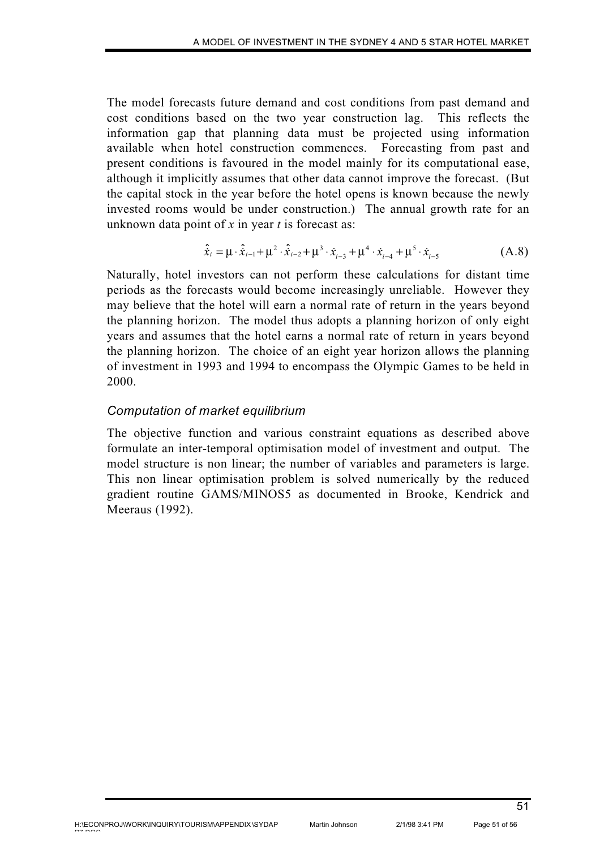The model forecasts future demand and cost conditions from past demand and cost conditions based on the two year construction lag. This reflects the information gap that planning data must be projected using information available when hotel construction commences. Forecasting from past and present conditions is favoured in the model mainly for its computational ease, although it implicitly assumes that other data cannot improve the forecast. (But the capital stock in the year before the hotel opens is known because the newly invested rooms would be under construction.) The annual growth rate for an unknown data point of *x* in year *t* is forecast as:

$$
\hat{\dot{x}}_i = \mu \cdot \hat{\dot{x}}_{i-1} + \mu^2 \cdot \hat{\dot{x}}_{i-2} + \mu^3 \cdot \dot{x}_{i-3} + \mu^4 \cdot \dot{x}_{i-4} + \mu^5 \cdot \dot{x}_{i-5}
$$
(A.8)

Naturally, hotel investors can not perform these calculations for distant time periods as the forecasts would become increasingly unreliable. However they may believe that the hotel will earn a normal rate of return in the years beyond the planning horizon. The model thus adopts a planning horizon of only eight years and assumes that the hotel earns a normal rate of return in years beyond the planning horizon. The choice of an eight year horizon allows the planning of investment in 1993 and 1994 to encompass the Olympic Games to be held in 2000.

### *Computation of market equilibrium*

The objective function and various constraint equations as described above formulate an inter-temporal optimisation model of investment and output. The model structure is non linear; the number of variables and parameters is large. This non linear optimisation problem is solved numerically by the reduced gradient routine GAMS/MINOS5 as documented in Brooke, Kendrick and Meeraus (1992).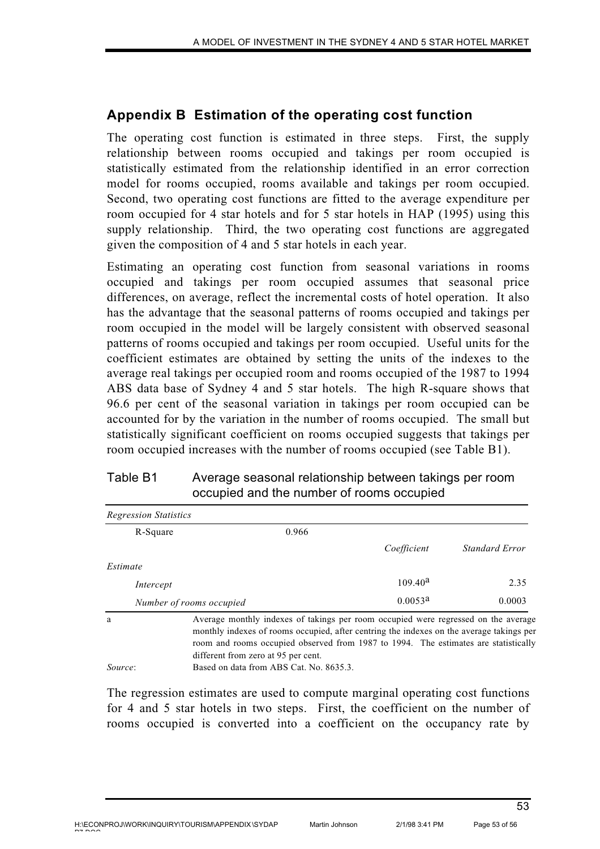# **Appendix B Estimation of the operating cost function**

The operating cost function is estimated in three steps. First, the supply relationship between rooms occupied and takings per room occupied is statistically estimated from the relationship identified in an error correction model for rooms occupied, rooms available and takings per room occupied. Second, two operating cost functions are fitted to the average expenditure per room occupied for 4 star hotels and for 5 star hotels in HAP (1995) using this supply relationship. Third, the two operating cost functions are aggregated given the composition of 4 and 5 star hotels in each year.

Estimating an operating cost function from seasonal variations in rooms occupied and takings per room occupied assumes that seasonal price differences, on average, reflect the incremental costs of hotel operation. It also has the advantage that the seasonal patterns of rooms occupied and takings per room occupied in the model will be largely consistent with observed seasonal patterns of rooms occupied and takings per room occupied. Useful units for the coefficient estimates are obtained by setting the units of the indexes to the average real takings per occupied room and rooms occupied of the 1987 to 1994 ABS data base of Sydney 4 and 5 star hotels. The high R-square shows that 96.6 per cent of the seasonal variation in takings per room occupied can be accounted for by the variation in the number of rooms occupied. The small but statistically significant coefficient on rooms occupied suggests that takings per room occupied increases with the number of rooms occupied (see Table B1).

| R-Square  |                          | 0.966                               |                                                                                                                                                                                                                                                                       |                |
|-----------|--------------------------|-------------------------------------|-----------------------------------------------------------------------------------------------------------------------------------------------------------------------------------------------------------------------------------------------------------------------|----------------|
|           |                          |                                     | Coefficient                                                                                                                                                                                                                                                           | Standard Error |
| Estimate  |                          |                                     |                                                                                                                                                                                                                                                                       |                |
| Intercept |                          |                                     | 109.40 <sup>a</sup>                                                                                                                                                                                                                                                   | 2.35           |
|           | Number of rooms occupied |                                     | $0.0053^{\text{a}}$                                                                                                                                                                                                                                                   | 0.0003         |
| a         |                          | different from zero at 95 per cent. | Average monthly indexes of takings per room occupied were regressed on the average<br>monthly indexes of rooms occupied, after centring the indexes on the average takings per<br>room and rooms occupied observed from 1987 to 1994. The estimates are statistically |                |

# Table B1 Average seasonal relationship between takings per room occupied and the number of rooms occupied

The regression estimates are used to compute marginal operating cost functions for 4 and 5 star hotels in two steps. First, the coefficient on the number of rooms occupied is converted into a coefficient on the occupancy rate by

*Source*: Based on data from ABS Cat. No. 8635.3.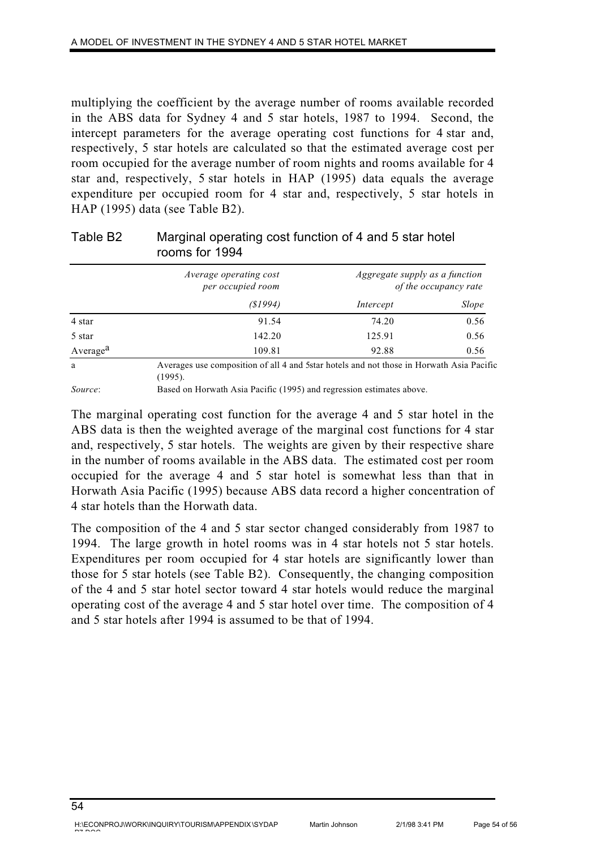multiplying the coefficient by the average number of rooms available recorded in the ABS data for Sydney 4 and 5 star hotels, 1987 to 1994. Second, the intercept parameters for the average operating cost functions for 4 star and, respectively, 5 star hotels are calculated so that the estimated average cost per room occupied for the average number of room nights and rooms available for 4 star and, respectively, 5 star hotels in HAP (1995) data equals the average expenditure per occupied room for 4 star and, respectively, 5 star hotels in HAP (1995) data (see Table B2).

|                      | <i>Average operating cost</i><br>per occupied room                                                   | Aggregate supply as a function<br>of the occupancy rate |       |
|----------------------|------------------------------------------------------------------------------------------------------|---------------------------------------------------------|-------|
|                      | (S1994)                                                                                              | Intercept                                               | Slope |
| 4 star               | 91.54                                                                                                | 74.20                                                   | 0.56  |
| 5 star               | 142.20                                                                                               | 125.91                                                  | 0.56  |
| Average <sup>a</sup> | 109.81                                                                                               | 92.88                                                   | 0.56  |
| a                    | Averages use composition of all 4 and 5 star hotels and not those in Horwath Asia Pacific<br>(1995). |                                                         |       |

# Table B2 Marginal operating cost function of 4 and 5 star hotel rooms for 1994

*Source*: Based on Horwath Asia Pacific (1995) and regression estimates above.

The marginal operating cost function for the average 4 and 5 star hotel in the ABS data is then the weighted average of the marginal cost functions for 4 star and, respectively, 5 star hotels. The weights are given by their respective share in the number of rooms available in the ABS data. The estimated cost per room occupied for the average 4 and 5 star hotel is somewhat less than that in Horwath Asia Pacific (1995) because ABS data record a higher concentration of 4 star hotels than the Horwath data.

The composition of the 4 and 5 star sector changed considerably from 1987 to 1994. The large growth in hotel rooms was in 4 star hotels not 5 star hotels. Expenditures per room occupied for 4 star hotels are significantly lower than those for 5 star hotels (see Table B2). Consequently, the changing composition of the 4 and 5 star hotel sector toward 4 star hotels would reduce the marginal operating cost of the average 4 and 5 star hotel over time. The composition of 4 and 5 star hotels after 1994 is assumed to be that of 1994.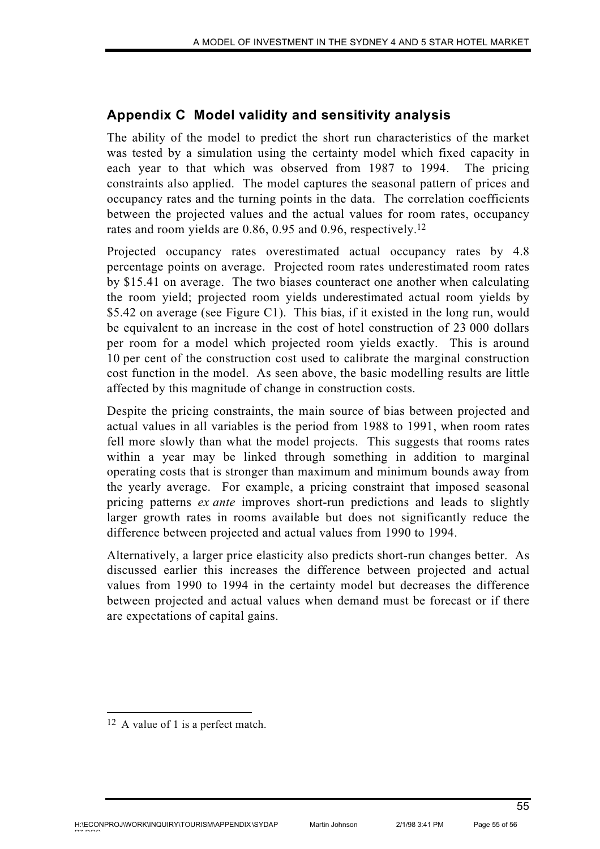# **Appendix C Model validity and sensitivity analysis**

The ability of the model to predict the short run characteristics of the market was tested by a simulation using the certainty model which fixed capacity in each year to that which was observed from 1987 to 1994. The pricing constraints also applied. The model captures the seasonal pattern of prices and occupancy rates and the turning points in the data. The correlation coefficients between the projected values and the actual values for room rates, occupancy rates and room yields are 0.86, 0.95 and 0.96, respectively.12

Projected occupancy rates overestimated actual occupancy rates by 4.8 percentage points on average. Projected room rates underestimated room rates by \$15.41 on average. The two biases counteract one another when calculating the room yield; projected room yields underestimated actual room yields by \$5.42 on average (see Figure C1). This bias, if it existed in the long run, would be equivalent to an increase in the cost of hotel construction of 23 000 dollars per room for a model which projected room yields exactly. This is around 10 per cent of the construction cost used to calibrate the marginal construction cost function in the model. As seen above, the basic modelling results are little affected by this magnitude of change in construction costs.

Despite the pricing constraints, the main source of bias between projected and actual values in all variables is the period from 1988 to 1991, when room rates fell more slowly than what the model projects. This suggests that rooms rates within a year may be linked through something in addition to marginal operating costs that is stronger than maximum and minimum bounds away from the yearly average. For example, a pricing constraint that imposed seasonal pricing patterns *ex ante* improves short-run predictions and leads to slightly larger growth rates in rooms available but does not significantly reduce the difference between projected and actual values from 1990 to 1994.

Alternatively, a larger price elasticity also predicts short-run changes better. As discussed earlier this increases the difference between projected and actual values from 1990 to 1994 in the certainty model but decreases the difference between projected and actual values when demand must be forecast or if there are expectations of capital gains.

<sup>12</sup> A value of 1 is a perfect match.